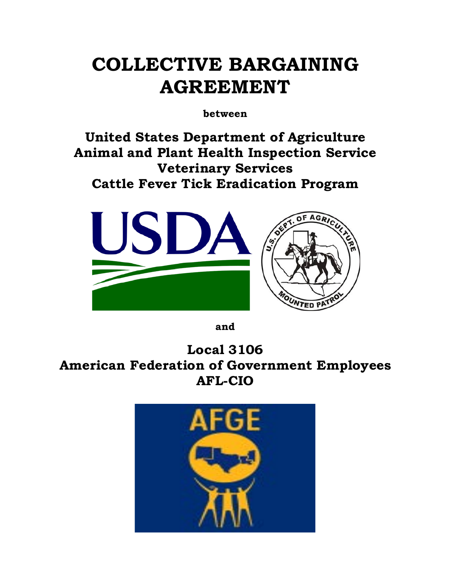# **COLLECTIVE BARGAINING AGREEMENT**

**between** 

**United States Department of Agriculture Animal and Plant Health Inspection Service Veterinary Services Cattle Fever Tick Eradication Program**



**and**

**Local 3106 American Federation of Government Employees AFL-CIO**

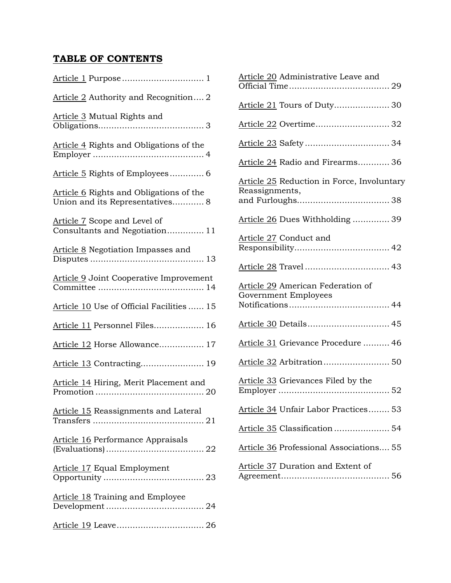## **TABLE OF CONTENTS**

| Article 2 Authority and Recognition 2                                      |
|----------------------------------------------------------------------------|
| Article 3 Mutual Rights and                                                |
| Article 4 Rights and Obligations of the                                    |
| Article 5 Rights of Employees 6                                            |
| Article 6 Rights and Obligations of the<br>Union and its Representatives 8 |
| Article 7 Scope and Level of<br>Consultants and Negotiation 11             |
| Article 8 Negotiation Impasses and                                         |
| Article 9 Joint Cooperative Improvement                                    |
| Article 10 Use of Official Facilities  15                                  |
| Article 11 Personnel Files 16                                              |
| Article 12 Horse Allowance 17                                              |
| Article 13 Contracting 19                                                  |
| Article 14 Hiring, Merit Placement and                                     |
| Article 15 Reassignments and Lateral                                       |
| Article 16 Performance Appraisals                                          |
| <b>Article 17 Equal Employment</b>                                         |
| Article 18 Training and Employee                                           |
|                                                                            |

| Article 20 Administrative Leave and                          |
|--------------------------------------------------------------|
| Article 21 Tours of Duty 30                                  |
| Article 22 Overtime 32                                       |
|                                                              |
| Article 24 Radio and Firearms 36                             |
| Article 25 Reduction in Force, Involuntary<br>Reassignments, |
| Article 26 Dues Withholding  39                              |
| Article 27 Conduct and                                       |
| Article 28 Travel  43                                        |
|                                                              |
| Article 29 American Federation of<br>Government Employees    |
| Article 30 Details 45                                        |
| Article 31 Grievance Procedure  46                           |
|                                                              |
| Article 33 Grievances Filed by the                           |
| Article 34 Unfair Labor Practices 53                         |
| Article 35 Classification  54                                |
| Article 36 Professional Associations 55                      |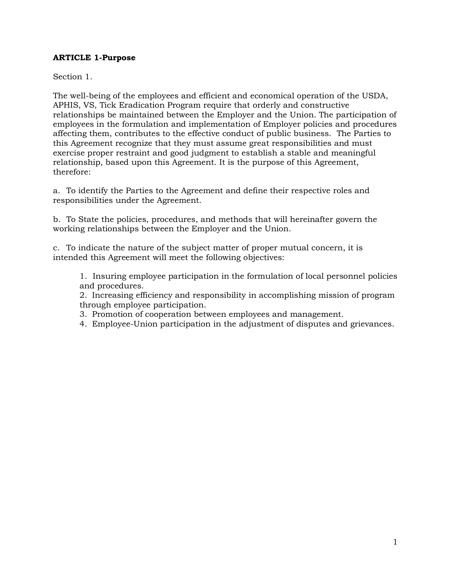## **ARTICLE 1-Purpose**

Section 1.

The well-being of the employees and efficient and economical operation of the USDA, APHIS, VS, Tick Eradication Program require that orderly and constructive relationships be maintained between the Employer and the Union. The participation of employees in the formulation and implementation of Employer policies and procedures affecting them, contributes to the effective conduct of public business. The Parties to this Agreement recognize that they must assume great responsibilities and must exercise proper restraint and good judgment to establish a stable and meaningful relationship, based upon this Agreement. It is the purpose of this Agreement, therefore:

a. To identify the Parties to the Agreement and define their respective roles and responsibilities under the Agreement.

b. To State the policies, procedures, and methods that will hereinafter govern the working relationships between the Employer and the Union.

c. To indicate the nature of the subject matter of proper mutual concern, it is intended this Agreement will meet the following objectives:

1. Insuring employee participation in the formulation of local personnel policies and procedures.

2. Increasing efficiency and responsibility in accomplishing mission of program through employee participation.

3. Promotion of cooperation between employees and management.

4. Employee-Union participation in the adjustment of disputes and grievances.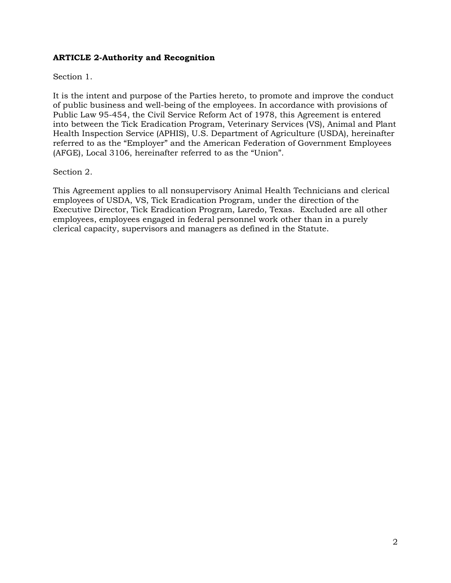## **ARTICLE 2-Authority and Recognition**

## Section 1.

It is the intent and purpose of the Parties hereto, to promote and improve the conduct of public business and well-being of the employees. In accordance with provisions of Public Law 95-454, the Civil Service Reform Act of 1978, this Agreement is entered into between the Tick Eradication Program, Veterinary Services (VS), Animal and Plant Health Inspection Service (APHIS), U.S. Department of Agriculture (USDA), hereinafter referred to as the "Employer" and the American Federation of Government Employees (AFGE), Local 3106, hereinafter referred to as the "Union".

## Section 2.

This Agreement applies to all nonsupervisory Animal Health Technicians and clerical employees of USDA, VS, Tick Eradication Program, under the direction of the Executive Director, Tick Eradication Program, Laredo, Texas. Excluded are all other employees, employees engaged in federal personnel work other than in a purely clerical capacity, supervisors and managers as defined in the Statute.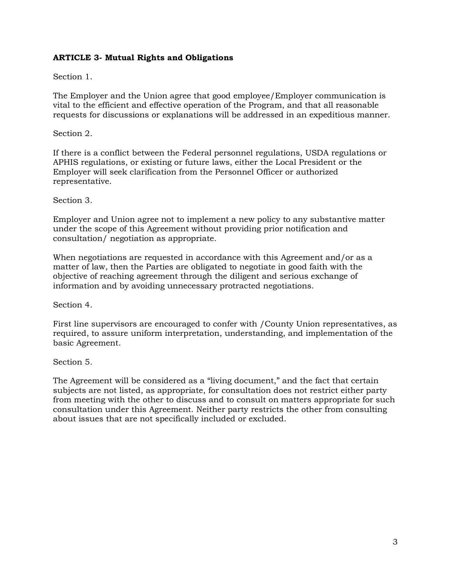## **ARTICLE 3- Mutual Rights and Obligations**

#### Section 1.

The Employer and the Union agree that good employee/Employer communication is vital to the efficient and effective operation of the Program, and that all reasonable requests for discussions or explanations will be addressed in an expeditious manner.

#### Section 2.

If there is a conflict between the Federal personnel regulations, USDA regulations or APHIS regulations, or existing or future laws, either the Local President or the Employer will seek clarification from the Personnel Officer or authorized representative.

#### Section 3.

Employer and Union agree not to implement a new policy to any substantive matter under the scope of this Agreement without providing prior notification and consultation/ negotiation as appropriate.

When negotiations are requested in accordance with this Agreement and/or as a matter of law, then the Parties are obligated to negotiate in good faith with the objective of reaching agreement through the diligent and serious exchange of information and by avoiding unnecessary protracted negotiations.

Section 4.

First line supervisors are encouraged to confer with /County Union representatives, as required, to assure uniform interpretation, understanding, and implementation of the basic Agreement.

#### Section 5.

The Agreement will be considered as a "living document," and the fact that certain subjects are not listed, as appropriate, for consultation does not restrict either party from meeting with the other to discuss and to consult on matters appropriate for such consultation under this Agreement. Neither party restricts the other from consulting about issues that are not specifically included or excluded.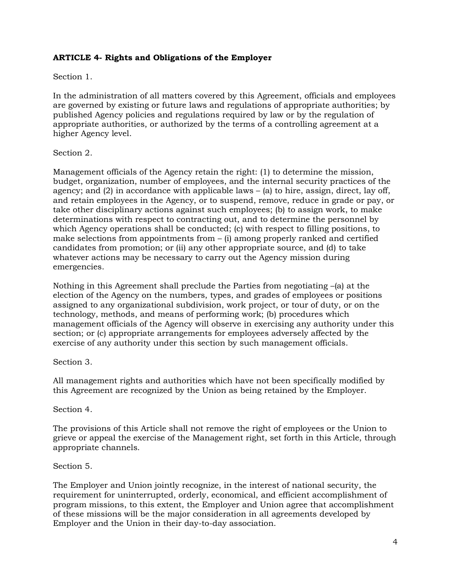## **ARTICLE 4- Rights and Obligations of the Employer**

#### Section 1.

In the administration of all matters covered by this Agreement, officials and employees are governed by existing or future laws and regulations of appropriate authorities; by published Agency policies and regulations required by law or by the regulation of appropriate authorities, or authorized by the terms of a controlling agreement at a higher Agency level.

#### Section 2.

Management officials of the Agency retain the right: (1) to determine the mission, budget, organization, number of employees, and the internal security practices of the agency; and (2) in accordance with applicable laws – (a) to hire, assign, direct, lay off, and retain employees in the Agency, or to suspend, remove, reduce in grade or pay, or take other disciplinary actions against such employees; (b) to assign work, to make determinations with respect to contracting out, and to determine the personnel by which Agency operations shall be conducted; (c) with respect to filling positions, to make selections from appointments from  $-$  (i) among properly ranked and certified candidates from promotion; or (ii) any other appropriate source, and (d) to take whatever actions may be necessary to carry out the Agency mission during emergencies.

Nothing in this Agreement shall preclude the Parties from negotiating  $-(a)$  at the election of the Agency on the numbers, types, and grades of employees or positions assigned to any organizational subdivision, work project, or tour of duty, or on the technology, methods, and means of performing work; (b) procedures which management officials of the Agency will observe in exercising any authority under this section; or (c) appropriate arrangements for employees adversely affected by the exercise of any authority under this section by such management officials.

#### Section 3.

All management rights and authorities which have not been specifically modified by this Agreement are recognized by the Union as being retained by the Employer.

#### Section 4.

The provisions of this Article shall not remove the right of employees or the Union to grieve or appeal the exercise of the Management right, set forth in this Article, through appropriate channels.

#### Section 5.

The Employer and Union jointly recognize, in the interest of national security, the requirement for uninterrupted, orderly, economical, and efficient accomplishment of program missions, to this extent, the Employer and Union agree that accomplishment of these missions will be the major consideration in all agreements developed by Employer and the Union in their day-to-day association.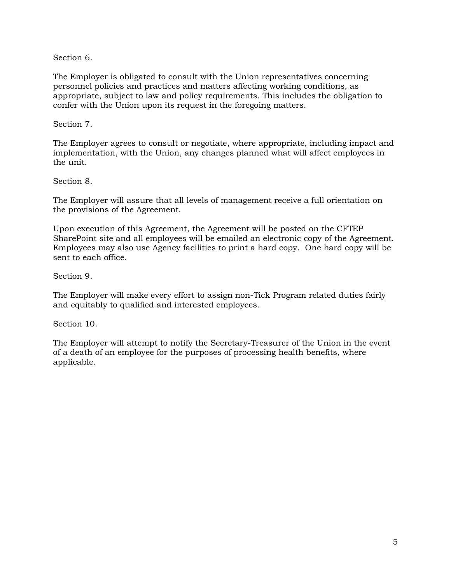Section 6.

The Employer is obligated to consult with the Union representatives concerning personnel policies and practices and matters affecting working conditions, as appropriate, subject to law and policy requirements. This includes the obligation to confer with the Union upon its request in the foregoing matters.

Section 7.

The Employer agrees to consult or negotiate, where appropriate, including impact and implementation, with the Union, any changes planned what will affect employees in the unit.

Section 8.

The Employer will assure that all levels of management receive a full orientation on the provisions of the Agreement.

Upon execution of this Agreement, the Agreement will be posted on the CFTEP SharePoint site and all employees will be emailed an electronic copy of the Agreement. Employees may also use Agency facilities to print a hard copy. One hard copy will be sent to each office.

Section 9.

The Employer will make every effort to assign non-Tick Program related duties fairly and equitably to qualified and interested employees.

Section 10.

The Employer will attempt to notify the Secretary-Treasurer of the Union in the event of a death of an employee for the purposes of processing health benefits, where applicable.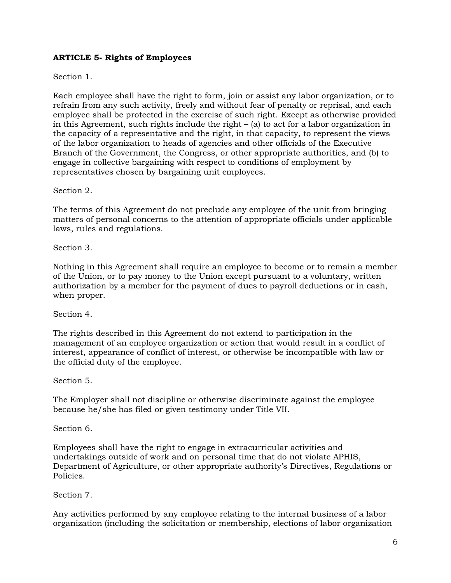## **ARTICLE 5- Rights of Employees**

## Section 1.

Each employee shall have the right to form, join or assist any labor organization, or to refrain from any such activity, freely and without fear of penalty or reprisal, and each employee shall be protected in the exercise of such right. Except as otherwise provided in this Agreement, such rights include the right  $-$  (a) to act for a labor organization in the capacity of a representative and the right, in that capacity, to represent the views of the labor organization to heads of agencies and other officials of the Executive Branch of the Government, the Congress, or other appropriate authorities, and (b) to engage in collective bargaining with respect to conditions of employment by representatives chosen by bargaining unit employees.

Section 2.

The terms of this Agreement do not preclude any employee of the unit from bringing matters of personal concerns to the attention of appropriate officials under applicable laws, rules and regulations.

Section 3.

Nothing in this Agreement shall require an employee to become or to remain a member of the Union, or to pay money to the Union except pursuant to a voluntary, written authorization by a member for the payment of dues to payroll deductions or in cash, when proper.

Section 4.

The rights described in this Agreement do not extend to participation in the management of an employee organization or action that would result in a conflict of interest, appearance of conflict of interest, or otherwise be incompatible with law or the official duty of the employee.

Section 5.

The Employer shall not discipline or otherwise discriminate against the employee because he/she has filed or given testimony under Title VII.

Section 6.

Employees shall have the right to engage in extracurricular activities and undertakings outside of work and on personal time that do not violate APHIS, Department of Agriculture, or other appropriate authority's Directives, Regulations or Policies.

Section 7.

Any activities performed by any employee relating to the internal business of a labor organization (including the solicitation or membership, elections of labor organization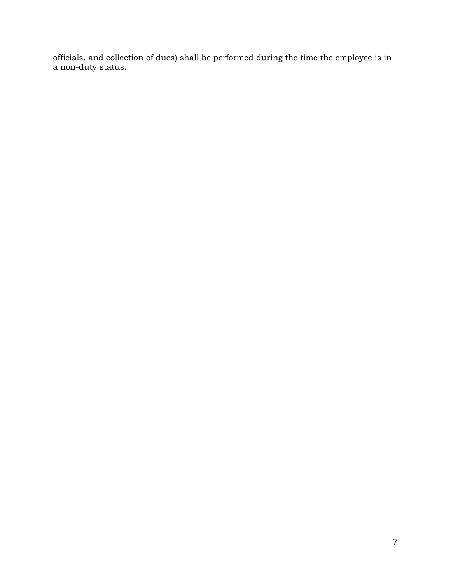officials, and collection of dues) shall be performed during the time the employee is in a non-duty status.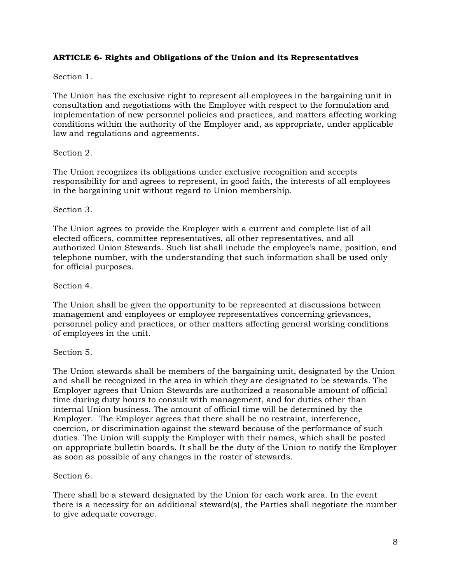## **ARTICLE 6- Rights and Obligations of the Union and its Representatives**

## Section 1.

The Union has the exclusive right to represent all employees in the bargaining unit in consultation and negotiations with the Employer with respect to the formulation and implementation of new personnel policies and practices, and matters affecting working conditions within the authority of the Employer and, as appropriate, under applicable law and regulations and agreements.

#### Section 2.

The Union recognizes its obligations under exclusive recognition and accepts responsibility for and agrees to represent, in good faith, the interests of all employees in the bargaining unit without regard to Union membership.

#### Section 3.

The Union agrees to provide the Employer with a current and complete list of all elected officers, committee representatives, all other representatives, and all authorized Union Stewards. Such list shall include the employee's name, position, and telephone number, with the understanding that such information shall be used only for official purposes.

#### Section 4.

The Union shall be given the opportunity to be represented at discussions between management and employees or employee representatives concerning grievances, personnel policy and practices, or other matters affecting general working conditions of employees in the unit.

#### Section 5.

The Union stewards shall be members of the bargaining unit, designated by the Union and shall be recognized in the area in which they are designated to be stewards. The Employer agrees that Union Stewards are authorized a reasonable amount of official time during duty hours to consult with management, and for duties other than internal Union business. The amount of official time will be determined by the Employer. The Employer agrees that there shall be no restraint, interference, coercion, or discrimination against the steward because of the performance of such duties. The Union will supply the Employer with their names, which shall be posted on appropriate bulletin boards. It shall be the duty of the Union to notify the Employer as soon as possible of any changes in the roster of stewards.

#### Section 6.

There shall be a steward designated by the Union for each work area. In the event there is a necessity for an additional steward(s), the Parties shall negotiate the number to give adequate coverage.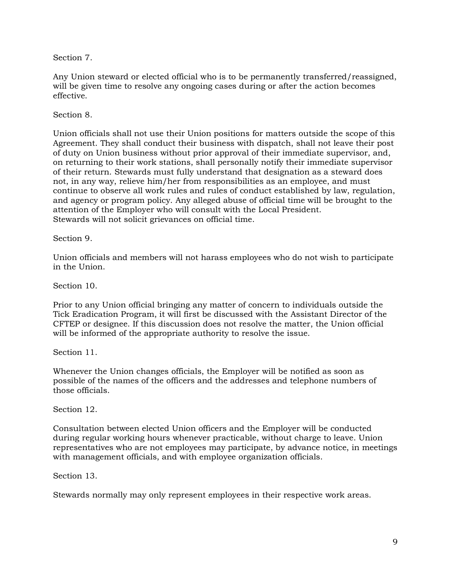Section 7.

Any Union steward or elected official who is to be permanently transferred/reassigned, will be given time to resolve any ongoing cases during or after the action becomes effective.

Section 8.

Union officials shall not use their Union positions for matters outside the scope of this Agreement. They shall conduct their business with dispatch, shall not leave their post of duty on Union business without prior approval of their immediate supervisor, and, on returning to their work stations, shall personally notify their immediate supervisor of their return. Stewards must fully understand that designation as a steward does not, in any way, relieve him/her from responsibilities as an employee, and must continue to observe all work rules and rules of conduct established by law, regulation, and agency or program policy. Any alleged abuse of official time will be brought to the attention of the Employer who will consult with the Local President. Stewards will not solicit grievances on official time.

Section 9.

Union officials and members will not harass employees who do not wish to participate in the Union.

Section 10.

Prior to any Union official bringing any matter of concern to individuals outside the Tick Eradication Program, it will first be discussed with the Assistant Director of the CFTEP or designee. If this discussion does not resolve the matter, the Union official will be informed of the appropriate authority to resolve the issue.

Section 11.

Whenever the Union changes officials, the Employer will be notified as soon as possible of the names of the officers and the addresses and telephone numbers of those officials.

Section 12.

Consultation between elected Union officers and the Employer will be conducted during regular working hours whenever practicable, without charge to leave. Union representatives who are not employees may participate, by advance notice, in meetings with management officials, and with employee organization officials.

Section 13.

Stewards normally may only represent employees in their respective work areas.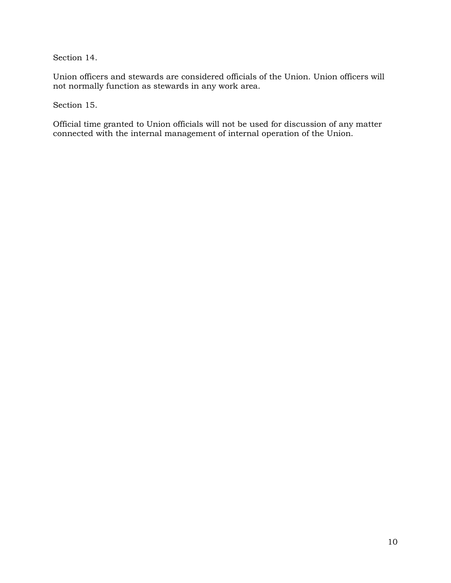Section 14.

Union officers and stewards are considered officials of the Union. Union officers will not normally function as stewards in any work area.

Section 15.

Official time granted to Union officials will not be used for discussion of any matter connected with the internal management of internal operation of the Union.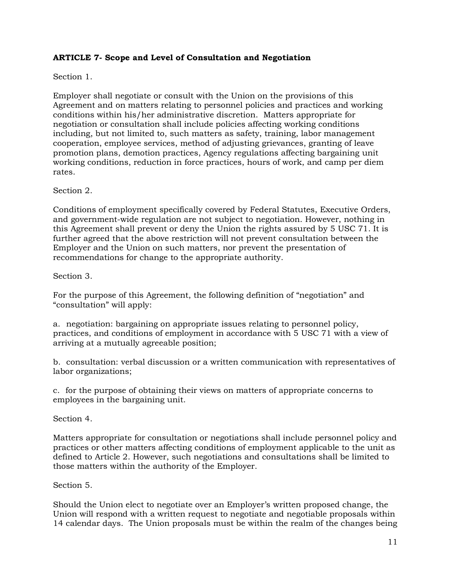## **ARTICLE 7- Scope and Level of Consultation and Negotiation**

## Section 1.

Employer shall negotiate or consult with the Union on the provisions of this Agreement and on matters relating to personnel policies and practices and working conditions within his/her administrative discretion. Matters appropriate for negotiation or consultation shall include policies affecting working conditions including, but not limited to, such matters as safety, training, labor management cooperation, employee services, method of adjusting grievances, granting of leave promotion plans, demotion practices, Agency regulations affecting bargaining unit working conditions, reduction in force practices, hours of work, and camp per diem rates.

#### Section 2.

Conditions of employment specifically covered by Federal Statutes, Executive Orders, and government-wide regulation are not subject to negotiation. However, nothing in this Agreement shall prevent or deny the Union the rights assured by 5 USC 71. It is further agreed that the above restriction will not prevent consultation between the Employer and the Union on such matters, nor prevent the presentation of recommendations for change to the appropriate authority.

#### Section 3.

For the purpose of this Agreement, the following definition of "negotiation" and "consultation" will apply:

a. negotiation: bargaining on appropriate issues relating to personnel policy, practices, and conditions of employment in accordance with 5 USC 71 with a view of arriving at a mutually agreeable position;

b. consultation: verbal discussion or a written communication with representatives of labor organizations;

c. for the purpose of obtaining their views on matters of appropriate concerns to employees in the bargaining unit.

Section 4.

Matters appropriate for consultation or negotiations shall include personnel policy and practices or other matters affecting conditions of employment applicable to the unit as defined to Article 2. However, such negotiations and consultations shall be limited to those matters within the authority of the Employer.

#### Section 5.

Should the Union elect to negotiate over an Employer's written proposed change, the Union will respond with a written request to negotiate and negotiable proposals within 14 calendar days. The Union proposals must be within the realm of the changes being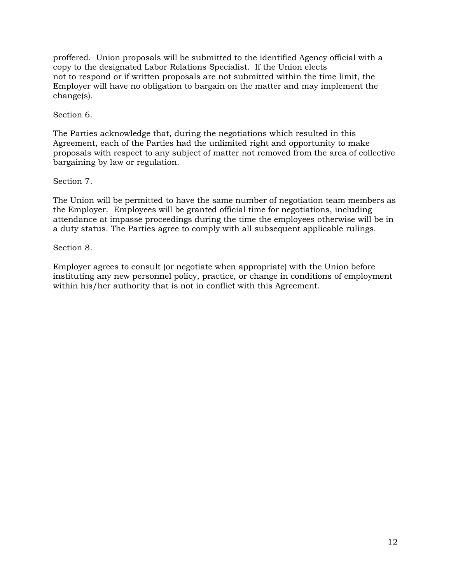proffered. Union proposals will be submitted to the identified Agency official with a copy to the designated Labor Relations Specialist. If the Union elects not to respond or if written proposals are not submitted within the time limit, the Employer will have no obligation to bargain on the matter and may implement the change(s).

## Section 6.

The Parties acknowledge that, during the negotiations which resulted in this Agreement, each of the Parties had the unlimited right and opportunity to make proposals with respect to any subject of matter not removed from the area of collective bargaining by law or regulation.

## Section 7.

The Union will be permitted to have the same number of negotiation team members as the Employer. Employees will be granted official time for negotiations, including attendance at impasse proceedings during the time the employees otherwise will be in a duty status. The Parties agree to comply with all subsequent applicable rulings.

#### Section 8.

Employer agrees to consult (or negotiate when appropriate) with the Union before instituting any new personnel policy, practice, or change in conditions of employment within his/her authority that is not in conflict with this Agreement.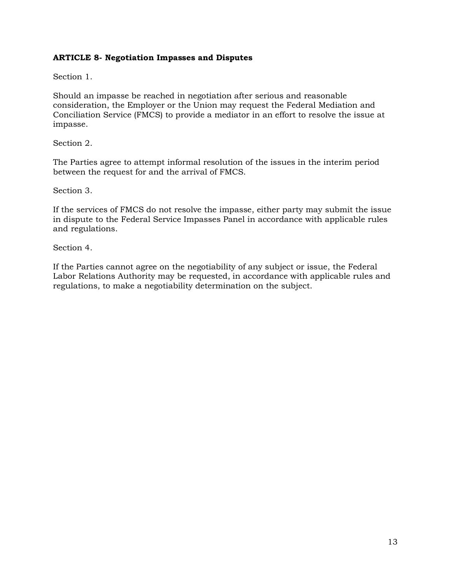## **ARTICLE 8- Negotiation Impasses and Disputes**

Section 1.

Should an impasse be reached in negotiation after serious and reasonable consideration, the Employer or the Union may request the Federal Mediation and Conciliation Service (FMCS) to provide a mediator in an effort to resolve the issue at impasse.

Section 2.

The Parties agree to attempt informal resolution of the issues in the interim period between the request for and the arrival of FMCS.

Section 3.

If the services of FMCS do not resolve the impasse, either party may submit the issue in dispute to the Federal Service Impasses Panel in accordance with applicable rules and regulations.

Section 4.

If the Parties cannot agree on the negotiability of any subject or issue, the Federal Labor Relations Authority may be requested, in accordance with applicable rules and regulations, to make a negotiability determination on the subject.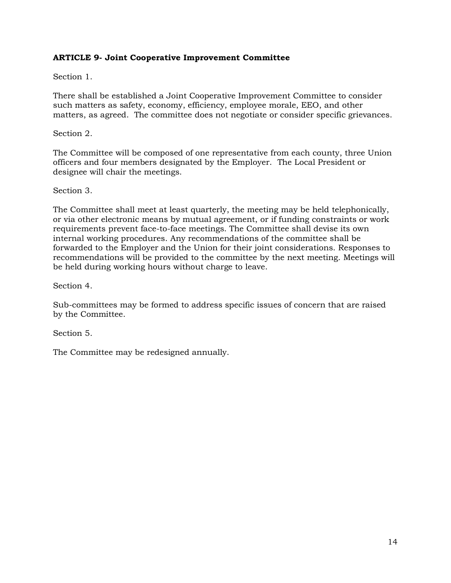## **ARTICLE 9- Joint Cooperative Improvement Committee**

Section 1.

There shall be established a Joint Cooperative Improvement Committee to consider such matters as safety, economy, efficiency, employee morale, EEO, and other matters, as agreed. The committee does not negotiate or consider specific grievances.

#### Section 2.

The Committee will be composed of one representative from each county, three Union officers and four members designated by the Employer. The Local President or designee will chair the meetings.

#### Section 3.

The Committee shall meet at least quarterly, the meeting may be held telephonically, or via other electronic means by mutual agreement, or if funding constraints or work requirements prevent face-to-face meetings. The Committee shall devise its own internal working procedures. Any recommendations of the committee shall be forwarded to the Employer and the Union for their joint considerations. Responses to recommendations will be provided to the committee by the next meeting. Meetings will be held during working hours without charge to leave.

Section 4.

Sub-committees may be formed to address specific issues of concern that are raised by the Committee.

Section 5.

The Committee may be redesigned annually.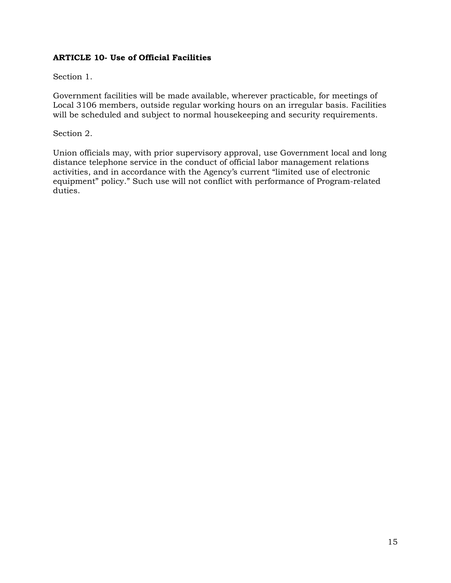## **ARTICLE 10- Use of Official Facilities**

Section 1.

Government facilities will be made available, wherever practicable, for meetings of Local 3106 members, outside regular working hours on an irregular basis. Facilities will be scheduled and subject to normal housekeeping and security requirements.

Section 2.

Union officials may, with prior supervisory approval, use Government local and long distance telephone service in the conduct of official labor management relations activities, and in accordance with the Agency's current "limited use of electronic equipment" policy." Such use will not conflict with performance of Program-related duties.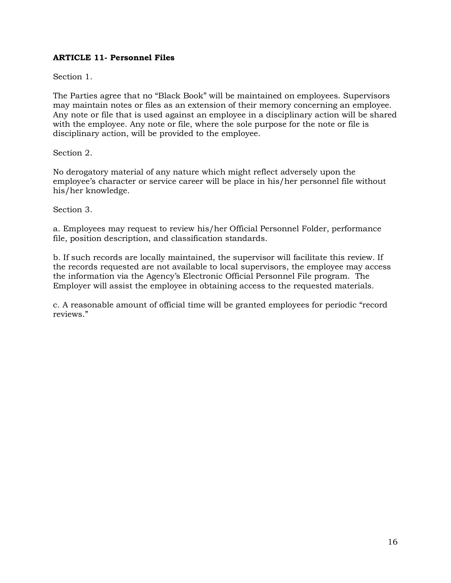## **ARTICLE 11- Personnel Files**

Section 1.

The Parties agree that no "Black Book" will be maintained on employees. Supervisors may maintain notes or files as an extension of their memory concerning an employee. Any note or file that is used against an employee in a disciplinary action will be shared with the employee. Any note or file, where the sole purpose for the note or file is disciplinary action, will be provided to the employee.

Section 2.

No derogatory material of any nature which might reflect adversely upon the employee's character or service career will be place in his/her personnel file without his/her knowledge.

Section 3.

a. Employees may request to review his/her Official Personnel Folder, performance file, position description, and classification standards.

b. If such records are locally maintained, the supervisor will facilitate this review. If the records requested are not available to local supervisors, the employee may access the information via the Agency's Electronic Official Personnel File program. The Employer will assist the employee in obtaining access to the requested materials.

c. A reasonable amount of official time will be granted employees for periodic "record reviews."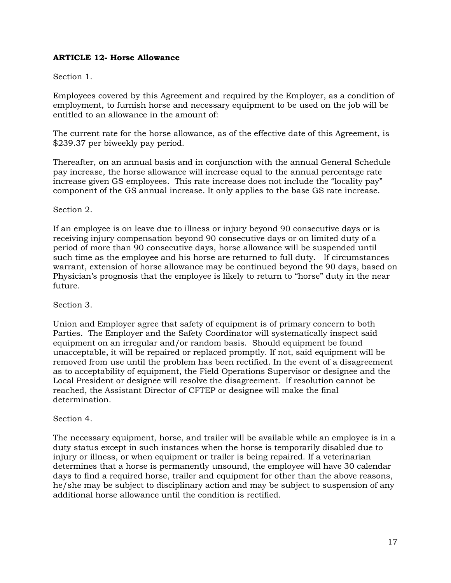## **ARTICLE 12- Horse Allowance**

#### Section 1.

Employees covered by this Agreement and required by the Employer, as a condition of employment, to furnish horse and necessary equipment to be used on the job will be entitled to an allowance in the amount of:

The current rate for the horse allowance, as of the effective date of this Agreement, is \$239.37 per biweekly pay period.

Thereafter, on an annual basis and in conjunction with the annual General Schedule pay increase, the horse allowance will increase equal to the annual percentage rate increase given GS employees. This rate increase does not include the "locality pay" component of the GS annual increase. It only applies to the base GS rate increase.

#### Section 2.

If an employee is on leave due to illness or injury beyond 90 consecutive days or is receiving injury compensation beyond 90 consecutive days or on limited duty of a period of more than 90 consecutive days, horse allowance will be suspended until such time as the employee and his horse are returned to full duty. If circumstances warrant, extension of horse allowance may be continued beyond the 90 days, based on Physician's prognosis that the employee is likely to return to "horse" duty in the near future.

#### Section 3.

Union and Employer agree that safety of equipment is of primary concern to both Parties. The Employer and the Safety Coordinator will systematically inspect said equipment on an irregular and/or random basis. Should equipment be found unacceptable, it will be repaired or replaced promptly. If not, said equipment will be removed from use until the problem has been rectified. In the event of a disagreement as to acceptability of equipment, the Field Operations Supervisor or designee and the Local President or designee will resolve the disagreement. If resolution cannot be reached, the Assistant Director of CFTEP or designee will make the final determination.

#### Section 4.

The necessary equipment, horse, and trailer will be available while an employee is in a duty status except in such instances when the horse is temporarily disabled due to injury or illness, or when equipment or trailer is being repaired. If a veterinarian determines that a horse is permanently unsound, the employee will have 30 calendar days to find a required horse, trailer and equipment for other than the above reasons, he/she may be subject to disciplinary action and may be subject to suspension of any additional horse allowance until the condition is rectified.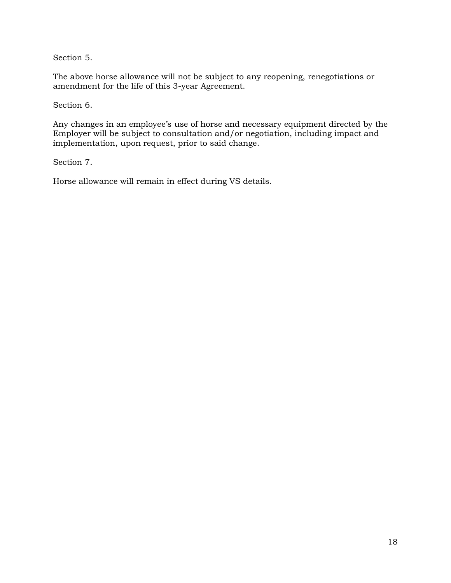Section 5.

The above horse allowance will not be subject to any reopening, renegotiations or amendment for the life of this 3-year Agreement.

Section 6.

Any changes in an employee's use of horse and necessary equipment directed by the Employer will be subject to consultation and/or negotiation, including impact and implementation, upon request, prior to said change.

Section 7.

Horse allowance will remain in effect during VS details.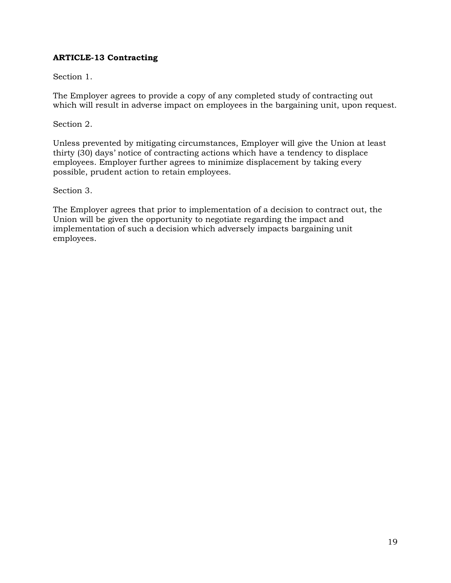## **ARTICLE-13 Contracting**

## Section 1.

The Employer agrees to provide a copy of any completed study of contracting out which will result in adverse impact on employees in the bargaining unit, upon request.

Section 2.

Unless prevented by mitigating circumstances, Employer will give the Union at least thirty (30) days' notice of contracting actions which have a tendency to displace employees. Employer further agrees to minimize displacement by taking every possible, prudent action to retain employees.

Section 3.

The Employer agrees that prior to implementation of a decision to contract out, the Union will be given the opportunity to negotiate regarding the impact and implementation of such a decision which adversely impacts bargaining unit employees.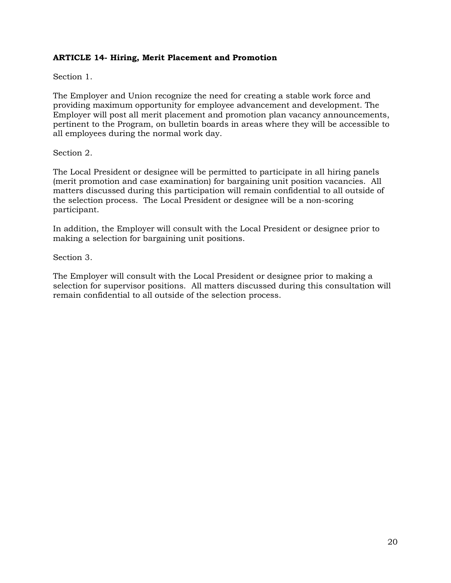## **ARTICLE 14- Hiring, Merit Placement and Promotion**

Section 1.

The Employer and Union recognize the need for creating a stable work force and providing maximum opportunity for employee advancement and development. The Employer will post all merit placement and promotion plan vacancy announcements, pertinent to the Program, on bulletin boards in areas where they will be accessible to all employees during the normal work day.

#### Section 2.

The Local President or designee will be permitted to participate in all hiring panels (merit promotion and case examination) for bargaining unit position vacancies. All matters discussed during this participation will remain confidential to all outside of the selection process. The Local President or designee will be a non-scoring participant.

In addition, the Employer will consult with the Local President or designee prior to making a selection for bargaining unit positions.

Section 3.

The Employer will consult with the Local President or designee prior to making a selection for supervisor positions. All matters discussed during this consultation will remain confidential to all outside of the selection process.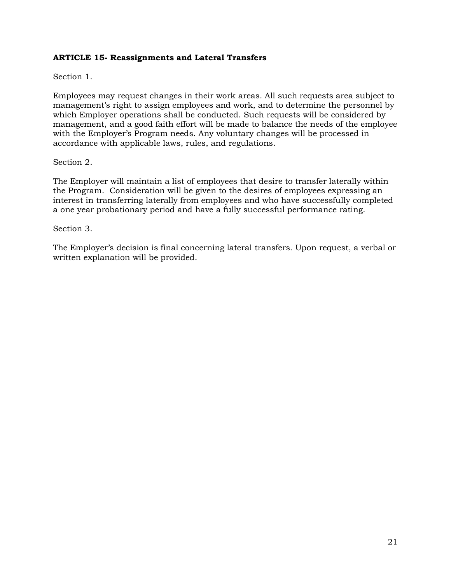## **ARTICLE 15- Reassignments and Lateral Transfers**

Section 1.

Employees may request changes in their work areas. All such requests area subject to management's right to assign employees and work, and to determine the personnel by which Employer operations shall be conducted. Such requests will be considered by management, and a good faith effort will be made to balance the needs of the employee with the Employer's Program needs. Any voluntary changes will be processed in accordance with applicable laws, rules, and regulations.

#### Section 2.

The Employer will maintain a list of employees that desire to transfer laterally within the Program. Consideration will be given to the desires of employees expressing an interest in transferring laterally from employees and who have successfully completed a one year probationary period and have a fully successful performance rating.

#### Section 3.

The Employer's decision is final concerning lateral transfers. Upon request, a verbal or written explanation will be provided.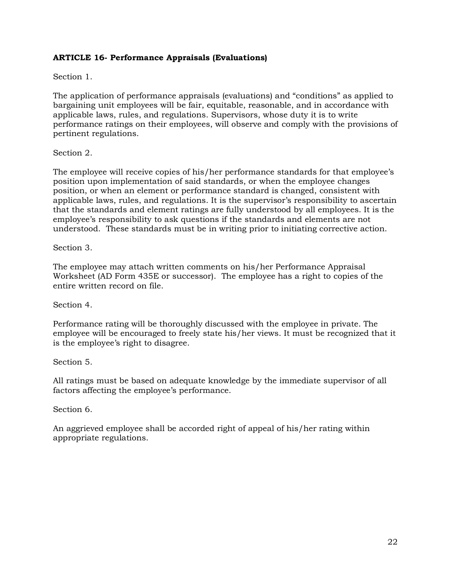## **ARTICLE 16- Performance Appraisals (Evaluations)**

## Section 1.

The application of performance appraisals (evaluations) and "conditions" as applied to bargaining unit employees will be fair, equitable, reasonable, and in accordance with applicable laws, rules, and regulations. Supervisors, whose duty it is to write performance ratings on their employees, will observe and comply with the provisions of pertinent regulations.

#### Section 2.

The employee will receive copies of his/her performance standards for that employee's position upon implementation of said standards, or when the employee changes position, or when an element or performance standard is changed, consistent with applicable laws, rules, and regulations. It is the supervisor's responsibility to ascertain that the standards and element ratings are fully understood by all employees. It is the employee's responsibility to ask questions if the standards and elements are not understood. These standards must be in writing prior to initiating corrective action.

Section 3.

The employee may attach written comments on his/her Performance Appraisal Worksheet (AD Form 435E or successor). The employee has a right to copies of the entire written record on file.

Section 4.

Performance rating will be thoroughly discussed with the employee in private. The employee will be encouraged to freely state his/her views. It must be recognized that it is the employee's right to disagree.

Section 5.

All ratings must be based on adequate knowledge by the immediate supervisor of all factors affecting the employee's performance.

Section 6.

An aggrieved employee shall be accorded right of appeal of his/her rating within appropriate regulations.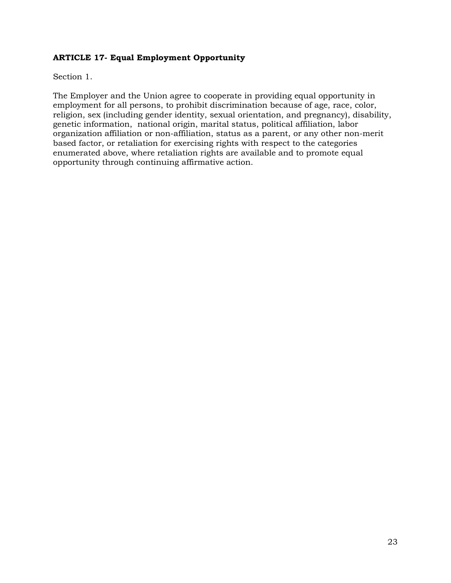## **ARTICLE 17- Equal Employment Opportunity**

Section 1.

The Employer and the Union agree to cooperate in providing equal opportunity in employment for all persons, to prohibit discrimination because of age, race, color, religion, sex (including gender identity, sexual orientation, and pregnancy), disability, genetic information, national origin, marital status, political affiliation, labor organization affiliation or non-affiliation, status as a parent, or any other non-merit based factor, or retaliation for exercising rights with respect to the categories enumerated above, where retaliation rights are available and to promote equal opportunity through continuing affirmative action.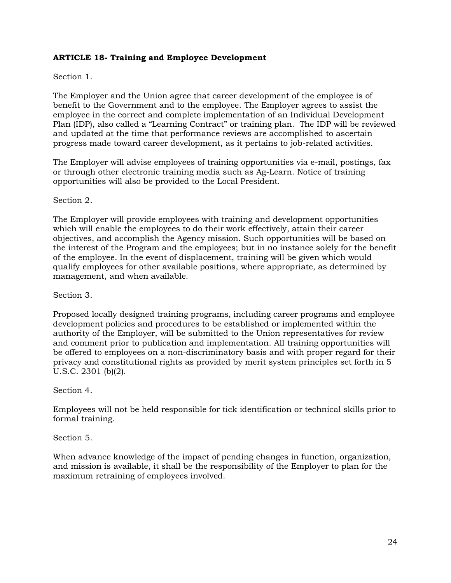## **ARTICLE 18- Training and Employee Development**

#### Section 1.

The Employer and the Union agree that career development of the employee is of benefit to the Government and to the employee. The Employer agrees to assist the employee in the correct and complete implementation of an Individual Development Plan (IDP), also called a "Learning Contract" or training plan. The IDP will be reviewed and updated at the time that performance reviews are accomplished to ascertain progress made toward career development, as it pertains to job-related activities.

The Employer will advise employees of training opportunities via e-mail, postings, fax or through other electronic training media such as Ag-Learn. Notice of training opportunities will also be provided to the Local President.

Section 2.

The Employer will provide employees with training and development opportunities which will enable the employees to do their work effectively, attain their career objectives, and accomplish the Agency mission. Such opportunities will be based on the interest of the Program and the employees; but in no instance solely for the benefit of the employee. In the event of displacement, training will be given which would qualify employees for other available positions, where appropriate, as determined by management, and when available.

Section 3.

Proposed locally designed training programs, including career programs and employee development policies and procedures to be established or implemented within the authority of the Employer, will be submitted to the Union representatives for review and comment prior to publication and implementation. All training opportunities will be offered to employees on a non-discriminatory basis and with proper regard for their privacy and constitutional rights as provided by merit system principles set forth in 5 U.S.C. 2301 (b)(2).

Section 4.

Employees will not be held responsible for tick identification or technical skills prior to formal training.

Section 5.

When advance knowledge of the impact of pending changes in function, organization, and mission is available, it shall be the responsibility of the Employer to plan for the maximum retraining of employees involved.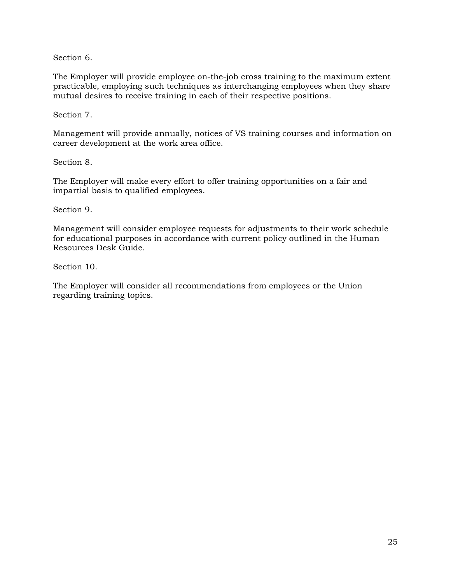Section 6.

The Employer will provide employee on-the-job cross training to the maximum extent practicable, employing such techniques as interchanging employees when they share mutual desires to receive training in each of their respective positions.

Section 7.

Management will provide annually, notices of VS training courses and information on career development at the work area office.

Section 8.

The Employer will make every effort to offer training opportunities on a fair and impartial basis to qualified employees.

Section 9.

Management will consider employee requests for adjustments to their work schedule for educational purposes in accordance with current policy outlined in the Human Resources Desk Guide.

Section 10.

The Employer will consider all recommendations from employees or the Union regarding training topics.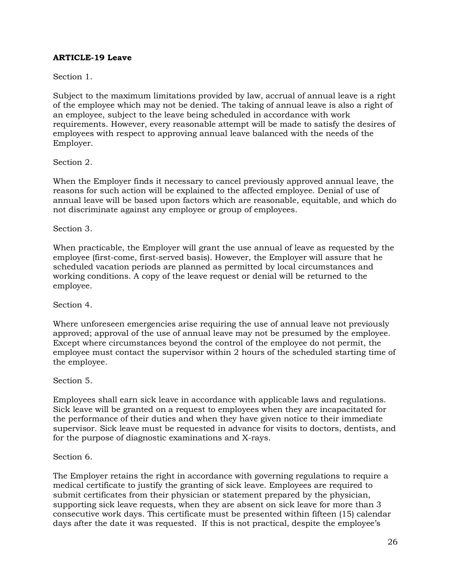## **ARTICLE-19 Leave**

## Section 1.

Subject to the maximum limitations provided by law, accrual of annual leave is a right of the employee which may not be denied. The taking of annual leave is also a right of an employee, subject to the leave being scheduled in accordance with work requirements. However, every reasonable attempt will be made to satisfy the desires of employees with respect to approving annual leave balanced with the needs of the Employer.

#### Section 2.

When the Employer finds it necessary to cancel previously approved annual leave, the reasons for such action will be explained to the affected employee. Denial of use of annual leave will be based upon factors which are reasonable, equitable, and which do not discriminate against any employee or group of employees.

#### Section 3.

When practicable, the Employer will grant the use annual of leave as requested by the employee (first-come, first-served basis). However, the Employer will assure that he scheduled vacation periods are planned as permitted by local circumstances and working conditions. A copy of the leave request or denial will be returned to the employee.

#### Section 4.

Where unforeseen emergencies arise requiring the use of annual leave not previously approved; approval of the use of annual leave may not be presumed by the employee. Except where circumstances beyond the control of the employee do not permit, the employee must contact the supervisor within 2 hours of the scheduled starting time of the employee.

#### Section 5.

Employees shall earn sick leave in accordance with applicable laws and regulations. Sick leave will be granted on a request to employees when they are incapacitated for the performance of their duties and when they have given notice to their immediate supervisor. Sick leave must be requested in advance for visits to doctors, dentists, and for the purpose of diagnostic examinations and X-rays.

#### Section 6.

The Employer retains the right in accordance with governing regulations to require a medical certificate to justify the granting of sick leave. Employees are required to submit certificates from their physician or statement prepared by the physician, supporting sick leave requests, when they are absent on sick leave for more than 3 consecutive work days. This certificate must be presented within fifteen (15) calendar days after the date it was requested. If this is not practical, despite the employee's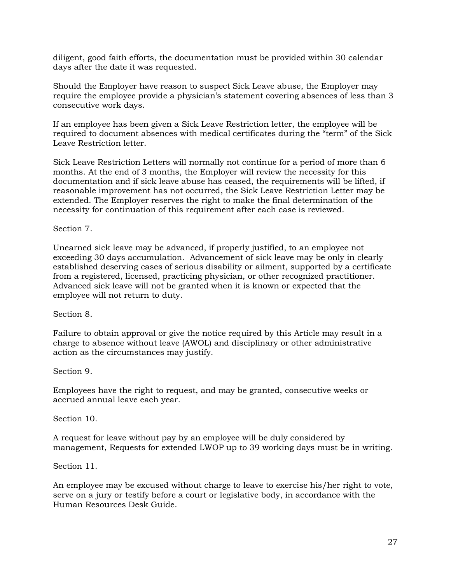diligent, good faith efforts, the documentation must be provided within 30 calendar days after the date it was requested.

Should the Employer have reason to suspect Sick Leave abuse, the Employer may require the employee provide a physician's statement covering absences of less than 3 consecutive work days.

If an employee has been given a Sick Leave Restriction letter, the employee will be required to document absences with medical certificates during the "term" of the Sick Leave Restriction letter.

Sick Leave Restriction Letters will normally not continue for a period of more than 6 months. At the end of 3 months, the Employer will review the necessity for this documentation and if sick leave abuse has ceased, the requirements will be lifted, if reasonable improvement has not occurred, the Sick Leave Restriction Letter may be extended. The Employer reserves the right to make the final determination of the necessity for continuation of this requirement after each case is reviewed.

#### Section 7.

Unearned sick leave may be advanced, if properly justified, to an employee not exceeding 30 days accumulation. Advancement of sick leave may be only in clearly established deserving cases of serious disability or ailment, supported by a certificate from a registered, licensed, practicing physician, or other recognized practitioner. Advanced sick leave will not be granted when it is known or expected that the employee will not return to duty.

#### Section 8.

Failure to obtain approval or give the notice required by this Article may result in a charge to absence without leave (AWOL) and disciplinary or other administrative action as the circumstances may justify.

Section 9.

Employees have the right to request, and may be granted, consecutive weeks or accrued annual leave each year.

Section 10.

A request for leave without pay by an employee will be duly considered by management, Requests for extended LWOP up to 39 working days must be in writing.

Section 11.

An employee may be excused without charge to leave to exercise his/her right to vote, serve on a jury or testify before a court or legislative body, in accordance with the Human Resources Desk Guide.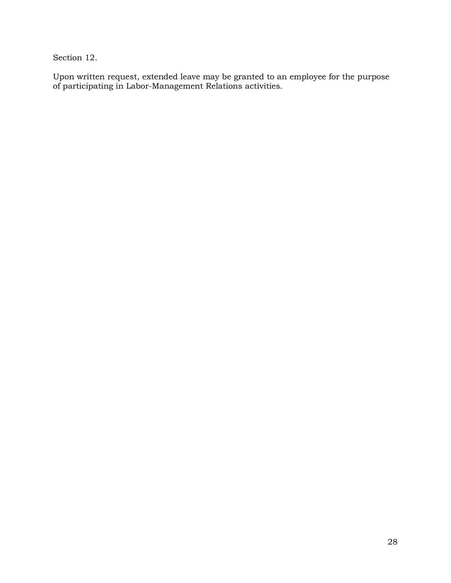Section 12.

Upon written request, extended leave may be granted to an employee for the purpose of participating in Labor-Management Relations activities.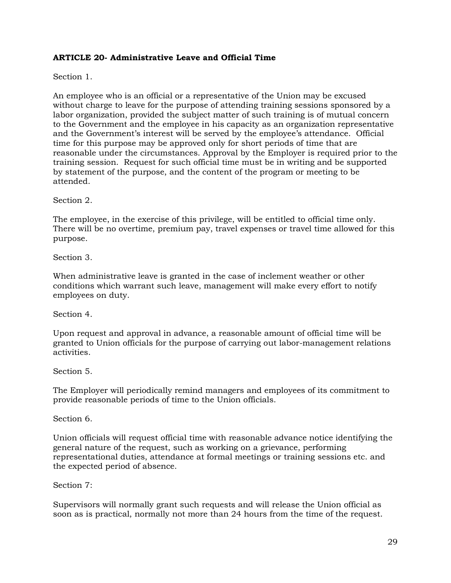## **ARTICLE 20- Administrative Leave and Official Time**

Section 1.

An employee who is an official or a representative of the Union may be excused without charge to leave for the purpose of attending training sessions sponsored by a labor organization, provided the subject matter of such training is of mutual concern to the Government and the employee in his capacity as an organization representative and the Government's interest will be served by the employee's attendance. Official time for this purpose may be approved only for short periods of time that are reasonable under the circumstances. Approval by the Employer is required prior to the training session. Request for such official time must be in writing and be supported by statement of the purpose, and the content of the program or meeting to be attended.

Section 2.

The employee, in the exercise of this privilege, will be entitled to official time only. There will be no overtime, premium pay, travel expenses or travel time allowed for this purpose.

Section 3.

When administrative leave is granted in the case of inclement weather or other conditions which warrant such leave, management will make every effort to notify employees on duty.

Section 4.

Upon request and approval in advance, a reasonable amount of official time will be granted to Union officials for the purpose of carrying out labor-management relations activities.

Section 5.

The Employer will periodically remind managers and employees of its commitment to provide reasonable periods of time to the Union officials.

Section 6.

Union officials will request official time with reasonable advance notice identifying the general nature of the request, such as working on a grievance, performing representational duties, attendance at formal meetings or training sessions etc. and the expected period of absence.

Section 7:

Supervisors will normally grant such requests and will release the Union official as soon as is practical, normally not more than 24 hours from the time of the request.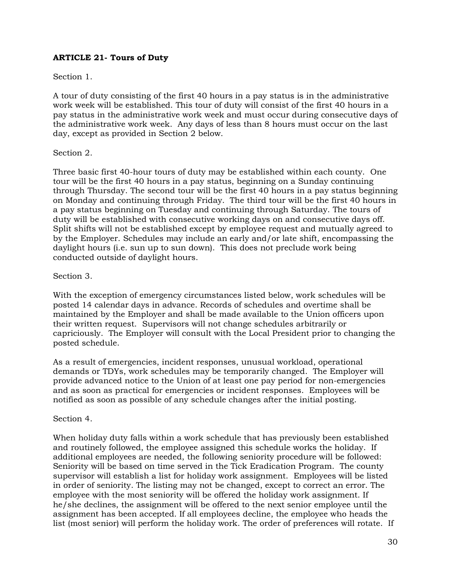## **ARTICLE 21- Tours of Duty**

## Section 1.

A tour of duty consisting of the first 40 hours in a pay status is in the administrative work week will be established. This tour of duty will consist of the first 40 hours in a pay status in the administrative work week and must occur during consecutive days of the administrative work week. Any days of less than 8 hours must occur on the last day, except as provided in Section 2 below.

#### Section 2.

Three basic first 40-hour tours of duty may be established within each county. One tour will be the first 40 hours in a pay status, beginning on a Sunday continuing through Thursday. The second tour will be the first 40 hours in a pay status beginning on Monday and continuing through Friday. The third tour will be the first 40 hours in a pay status beginning on Tuesday and continuing through Saturday. The tours of duty will be established with consecutive working days on and consecutive days off. Split shifts will not be established except by employee request and mutually agreed to by the Employer. Schedules may include an early and/or late shift, encompassing the daylight hours (i.e. sun up to sun down). This does not preclude work being conducted outside of daylight hours.

#### Section 3.

With the exception of emergency circumstances listed below, work schedules will be posted 14 calendar days in advance. Records of schedules and overtime shall be maintained by the Employer and shall be made available to the Union officers upon their written request. Supervisors will not change schedules arbitrarily or capriciously. The Employer will consult with the Local President prior to changing the posted schedule.

As a result of emergencies, incident responses, unusual workload, operational demands or TDYs, work schedules may be temporarily changed. The Employer will provide advanced notice to the Union of at least one pay period for non-emergencies and as soon as practical for emergencies or incident responses. Employees will be notified as soon as possible of any schedule changes after the initial posting.

#### Section 4.

When holiday duty falls within a work schedule that has previously been established and routinely followed, the employee assigned this schedule works the holiday. If additional employees are needed, the following seniority procedure will be followed: Seniority will be based on time served in the Tick Eradication Program. The county supervisor will establish a list for holiday work assignment. Employees will be listed in order of seniority. The listing may not be changed, except to correct an error. The employee with the most seniority will be offered the holiday work assignment. If he/she declines, the assignment will be offered to the next senior employee until the assignment has been accepted. If all employees decline, the employee who heads the list (most senior) will perform the holiday work. The order of preferences will rotate. If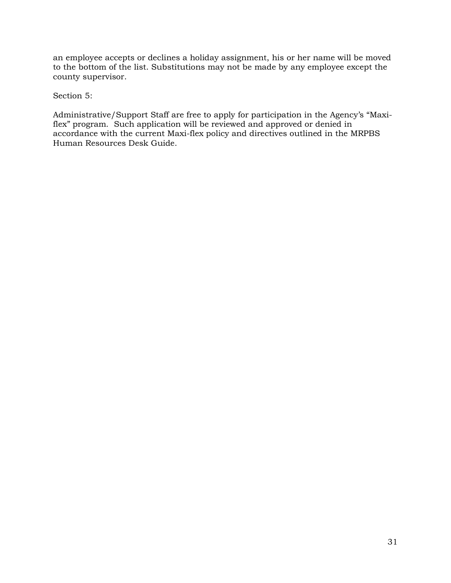an employee accepts or declines a holiday assignment, his or her name will be moved to the bottom of the list. Substitutions may not be made by any employee except the county supervisor.

Section 5:

Administrative/Support Staff are free to apply for participation in the Agency's "Maxiflex" program. Such application will be reviewed and approved or denied in accordance with the current Maxi-flex policy and directives outlined in the MRPBS Human Resources Desk Guide.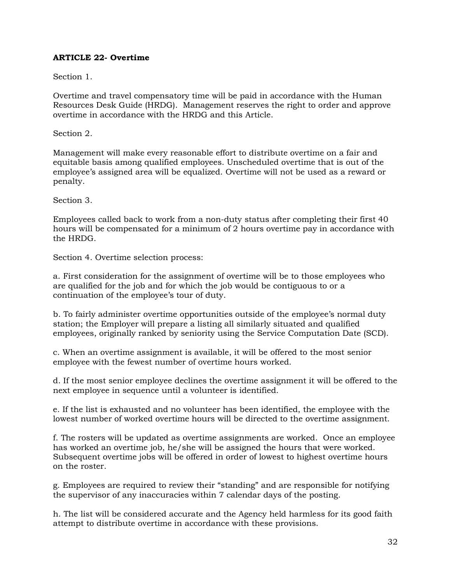## **ARTICLE 22- Overtime**

Section 1.

Overtime and travel compensatory time will be paid in accordance with the Human Resources Desk Guide (HRDG). Management reserves the right to order and approve overtime in accordance with the HRDG and this Article.

Section 2.

Management will make every reasonable effort to distribute overtime on a fair and equitable basis among qualified employees. Unscheduled overtime that is out of the employee's assigned area will be equalized. Overtime will not be used as a reward or penalty.

Section 3.

Employees called back to work from a non-duty status after completing their first 40 hours will be compensated for a minimum of 2 hours overtime pay in accordance with the HRDG.

Section 4. Overtime selection process:

a. First consideration for the assignment of overtime will be to those employees who are qualified for the job and for which the job would be contiguous to or a continuation of the employee's tour of duty.

b. To fairly administer overtime opportunities outside of the employee's normal duty station; the Employer will prepare a listing all similarly situated and qualified employees, originally ranked by seniority using the Service Computation Date (SCD).

c. When an overtime assignment is available, it will be offered to the most senior employee with the fewest number of overtime hours worked.

d. If the most senior employee declines the overtime assignment it will be offered to the next employee in sequence until a volunteer is identified.

e. If the list is exhausted and no volunteer has been identified, the employee with the lowest number of worked overtime hours will be directed to the overtime assignment.

f. The rosters will be updated as overtime assignments are worked. Once an employee has worked an overtime job, he/she will be assigned the hours that were worked. Subsequent overtime jobs will be offered in order of lowest to highest overtime hours on the roster.

g. Employees are required to review their "standing" and are responsible for notifying the supervisor of any inaccuracies within 7 calendar days of the posting.

h. The list will be considered accurate and the Agency held harmless for its good faith attempt to distribute overtime in accordance with these provisions.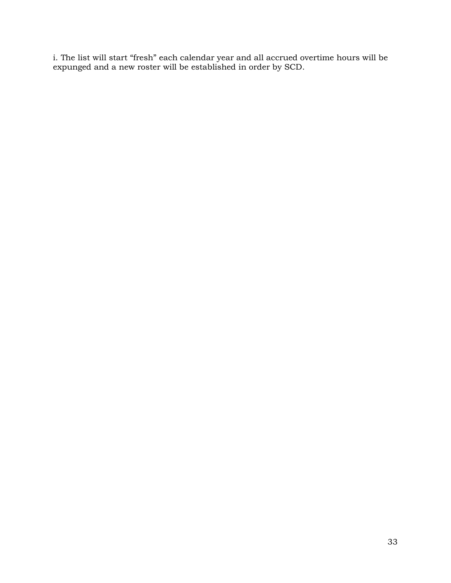i. The list will start "fresh" each calendar year and all accrued overtime hours will be expunged and a new roster will be established in order by SCD.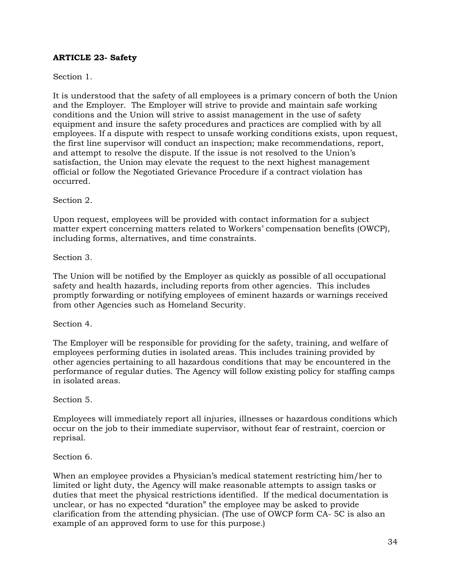## **ARTICLE 23- Safety**

## Section 1.

It is understood that the safety of all employees is a primary concern of both the Union and the Employer. The Employer will strive to provide and maintain safe working conditions and the Union will strive to assist management in the use of safety equipment and insure the safety procedures and practices are complied with by all employees. If a dispute with respect to unsafe working conditions exists, upon request, the first line supervisor will conduct an inspection; make recommendations, report, and attempt to resolve the dispute. If the issue is not resolved to the Union's satisfaction, the Union may elevate the request to the next highest management official or follow the Negotiated Grievance Procedure if a contract violation has occurred.

Section 2.

Upon request, employees will be provided with contact information for a subject matter expert concerning matters related to Workers' compensation benefits (OWCP), including forms, alternatives, and time constraints.

Section 3.

The Union will be notified by the Employer as quickly as possible of all occupational safety and health hazards, including reports from other agencies. This includes promptly forwarding or notifying employees of eminent hazards or warnings received from other Agencies such as Homeland Security.

Section 4.

The Employer will be responsible for providing for the safety, training, and welfare of employees performing duties in isolated areas. This includes training provided by other agencies pertaining to all hazardous conditions that may be encountered in the performance of regular duties. The Agency will follow existing policy for staffing camps in isolated areas.

Section 5.

Employees will immediately report all injuries, illnesses or hazardous conditions which occur on the job to their immediate supervisor, without fear of restraint, coercion or reprisal.

#### Section 6.

When an employee provides a Physician's medical statement restricting him/her to limited or light duty, the Agency will make reasonable attempts to assign tasks or duties that meet the physical restrictions identified. If the medical documentation is unclear, or has no expected "duration" the employee may be asked to provide clarification from the attending physician. (The use of OWCP form CA- 5C is also an example of an approved form to use for this purpose.)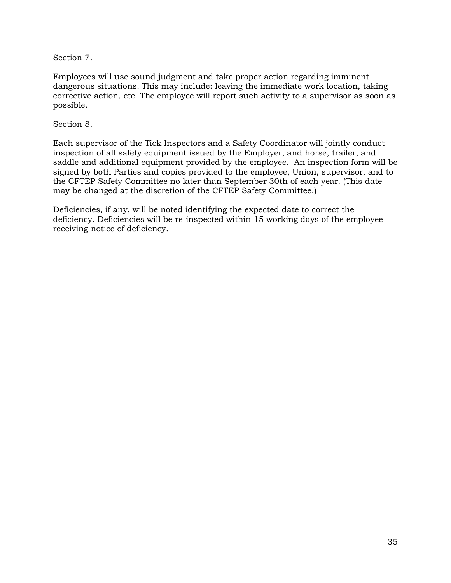Section 7.

Employees will use sound judgment and take proper action regarding imminent dangerous situations. This may include: leaving the immediate work location, taking corrective action, etc. The employee will report such activity to a supervisor as soon as possible.

Section 8.

Each supervisor of the Tick Inspectors and a Safety Coordinator will jointly conduct inspection of all safety equipment issued by the Employer, and horse, trailer, and saddle and additional equipment provided by the employee. An inspection form will be signed by both Parties and copies provided to the employee, Union, supervisor, and to the CFTEP Safety Committee no later than September 30th of each year. (This date may be changed at the discretion of the CFTEP Safety Committee.)

Deficiencies, if any, will be noted identifying the expected date to correct the deficiency. Deficiencies will be re-inspected within 15 working days of the employee receiving notice of deficiency.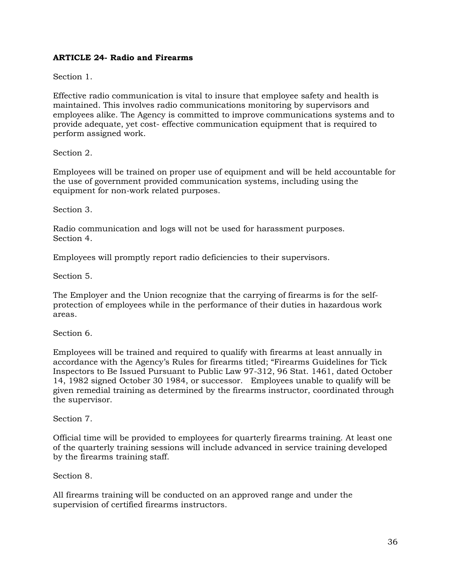## **ARTICLE 24- Radio and Firearms**

Section 1.

Effective radio communication is vital to insure that employee safety and health is maintained. This involves radio communications monitoring by supervisors and employees alike. The Agency is committed to improve communications systems and to provide adequate, yet cost- effective communication equipment that is required to perform assigned work.

Section 2.

Employees will be trained on proper use of equipment and will be held accountable for the use of government provided communication systems, including using the equipment for non-work related purposes.

Section 3.

Radio communication and logs will not be used for harassment purposes. Section 4.

Employees will promptly report radio deficiencies to their supervisors.

Section 5.

The Employer and the Union recognize that the carrying of firearms is for the selfprotection of employees while in the performance of their duties in hazardous work areas.

Section 6.

Employees will be trained and required to qualify with firearms at least annually in accordance with the Agency's Rules for firearms titled; "Firearms Guidelines for Tick Inspectors to Be Issued Pursuant to Public Law 97-312, 96 Stat. 1461, dated October 14, 1982 signed October 30 1984, or successor. Employees unable to qualify will be given remedial training as determined by the firearms instructor, coordinated through the supervisor.

Section 7.

Official time will be provided to employees for quarterly firearms training. At least one of the quarterly training sessions will include advanced in service training developed by the firearms training staff.

Section 8.

All firearms training will be conducted on an approved range and under the supervision of certified firearms instructors.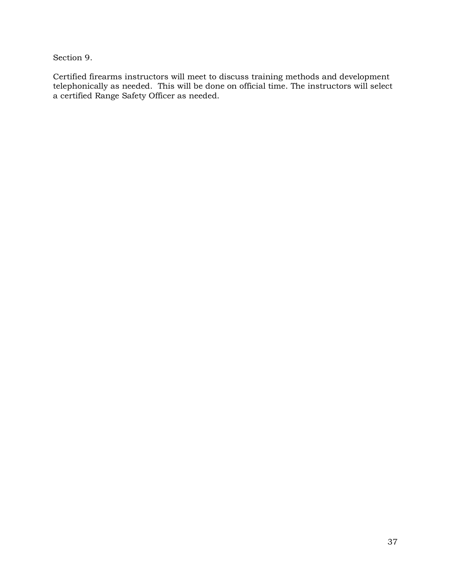Section 9.

Certified firearms instructors will meet to discuss training methods and development telephonically as needed. This will be done on official time. The instructors will select a certified Range Safety Officer as needed.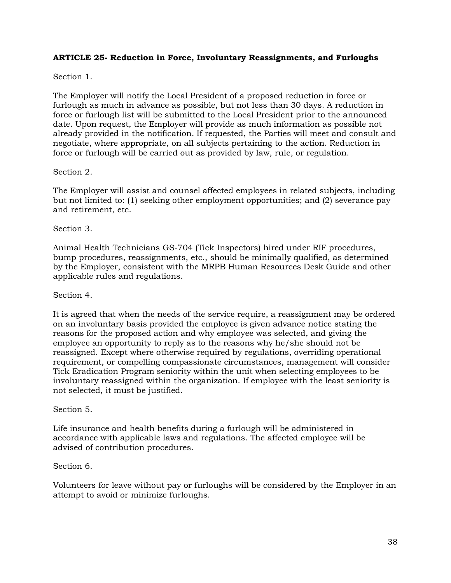## **ARTICLE 25- Reduction in Force, Involuntary Reassignments, and Furloughs**

## Section 1.

The Employer will notify the Local President of a proposed reduction in force or furlough as much in advance as possible, but not less than 30 days. A reduction in force or furlough list will be submitted to the Local President prior to the announced date. Upon request, the Employer will provide as much information as possible not already provided in the notification. If requested, the Parties will meet and consult and negotiate, where appropriate, on all subjects pertaining to the action. Reduction in force or furlough will be carried out as provided by law, rule, or regulation.

## Section 2.

The Employer will assist and counsel affected employees in related subjects, including but not limited to: (1) seeking other employment opportunities; and (2) severance pay and retirement, etc.

## Section 3.

Animal Health Technicians GS-704 (Tick Inspectors) hired under RIF procedures, bump procedures, reassignments, etc., should be minimally qualified, as determined by the Employer, consistent with the MRPB Human Resources Desk Guide and other applicable rules and regulations.

#### Section 4.

It is agreed that when the needs of the service require, a reassignment may be ordered on an involuntary basis provided the employee is given advance notice stating the reasons for the proposed action and why employee was selected, and giving the employee an opportunity to reply as to the reasons why he/she should not be reassigned. Except where otherwise required by regulations, overriding operational requirement, or compelling compassionate circumstances, management will consider Tick Eradication Program seniority within the unit when selecting employees to be involuntary reassigned within the organization. If employee with the least seniority is not selected, it must be justified.

#### Section 5.

Life insurance and health benefits during a furlough will be administered in accordance with applicable laws and regulations. The affected employee will be advised of contribution procedures.

#### Section 6.

Volunteers for leave without pay or furloughs will be considered by the Employer in an attempt to avoid or minimize furloughs.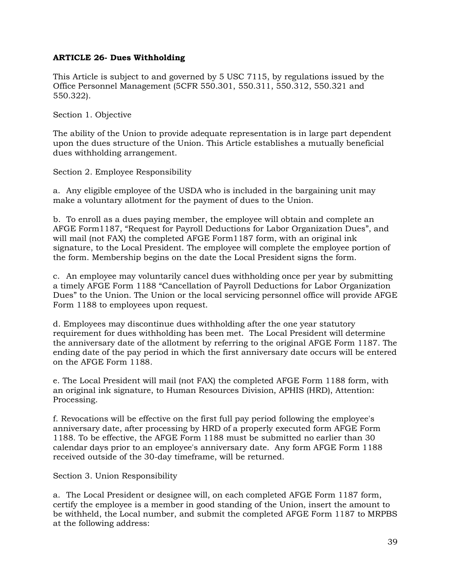## **ARTICLE 26- Dues Withholding**

This Article is subject to and governed by 5 USC 7115, by regulations issued by the Office Personnel Management (5CFR 550.301, 550.311, 550.312, 550.321 and 550.322).

Section 1. Objective

The ability of the Union to provide adequate representation is in large part dependent upon the dues structure of the Union. This Article establishes a mutually beneficial dues withholding arrangement.

Section 2. Employee Responsibility

a. Any eligible employee of the USDA who is included in the bargaining unit may make a voluntary allotment for the payment of dues to the Union.

b. To enroll as a dues paying member, the employee will obtain and complete an AFGE Form1187, "Request for Payroll Deductions for Labor Organization Dues", and will mail (not FAX) the completed AFGE Form1187 form, with an original ink signature, to the Local President. The employee will complete the employee portion of the form. Membership begins on the date the Local President signs the form.

c. An employee may voluntarily cancel dues withholding once per year by submitting a timely AFGE Form 1188 "Cancellation of Payroll Deductions for Labor Organization Dues" to the Union. The Union or the local servicing personnel office will provide AFGE Form 1188 to employees upon request.

d. Employees may discontinue dues withholding after the one year statutory requirement for dues withholding has been met. The Local President will determine the anniversary date of the allotment by referring to the original AFGE Form 1187. The ending date of the pay period in which the first anniversary date occurs will be entered on the AFGE Form 1188.

e. The Local President will mail (not FAX) the completed AFGE Form 1188 form, with an original ink signature, to Human Resources Division, APHIS (HRD), Attention: Processing.

f. Revocations will be effective on the first full pay period following the employee's anniversary date, after processing by HRD of a properly executed form AFGE Form 1188. To be effective, the AFGE Form 1188 must be submitted no earlier than 30 calendar days prior to an employee's anniversary date. Any form AFGE Form 1188 received outside of the 30-day timeframe, will be returned.

Section 3. Union Responsibility

a. The Local President or designee will, on each completed AFGE Form 1187 form, certify the employee is a member in good standing of the Union, insert the amount to be withheld, the Local number, and submit the completed AFGE Form 1187 to MRPBS at the following address: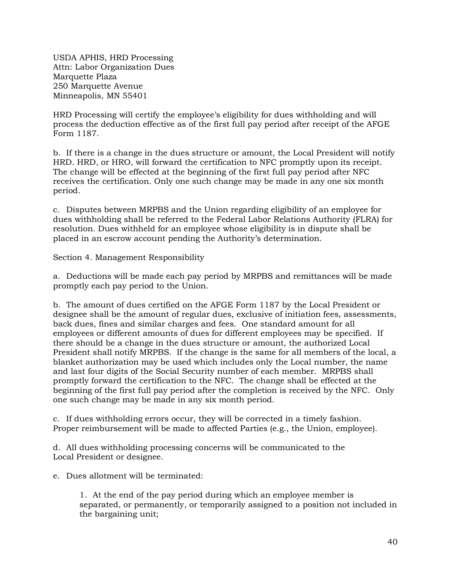USDA APHIS, HRD Processing Attn: Labor Organization Dues Marquette Plaza 250 Marquette Avenue Minneapolis, MN 55401

HRD Processing will certify the employee's eligibility for dues withholding and will process the deduction effective as of the first full pay period after receipt of the AFGE Form 1187.

b. If there is a change in the dues structure or amount, the Local President will notify HRD. HRD, or HRO, will forward the certification to NFC promptly upon its receipt. The change will be effected at the beginning of the first full pay period after NFC receives the certification. Only one such change may be made in any one six month period.

c. Disputes between MRPBS and the Union regarding eligibility of an employee for dues withholding shall be referred to the Federal Labor Relations Authority (FLRA) for resolution. Dues withheld for an employee whose eligibility is in dispute shall be placed in an escrow account pending the Authority's determination.

Section 4. Management Responsibility

a. Deductions will be made each pay period by MRPBS and remittances will be made promptly each pay period to the Union.

b. The amount of dues certified on the AFGE Form 1187 by the Local President or designee shall be the amount of regular dues, exclusive of initiation fees, assessments, back dues, fines and similar charges and fees. One standard amount for all employees or different amounts of dues for different employees may be specified. If there should be a change in the dues structure or amount, the authorized Local President shall notify MRPBS. If the change is the same for all members of the local, a blanket authorization may be used which includes only the Local number, the name and last four digits of the Social Security number of each member. MRPBS shall promptly forward the certification to the NFC. The change shall be effected at the beginning of the first full pay period after the completion is received by the NFC. Only one such change may be made in any six month period.

c. If dues withholding errors occur, they will be corrected in a timely fashion. Proper reimbursement will be made to affected Parties (e.g., the Union, employee).

d. All dues withholding processing concerns will be communicated to the Local President or designee.

e. Dues allotment will be terminated:

1. At the end of the pay period during which an employee member is separated, or permanently, or temporarily assigned to a position not included in the bargaining unit;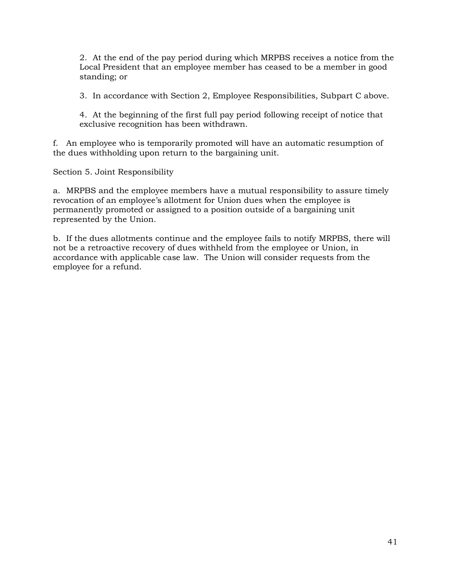2. At the end of the pay period during which MRPBS receives a notice from the Local President that an employee member has ceased to be a member in good standing; or

3. In accordance with Section 2, Employee Responsibilities, Subpart C above.

4. At the beginning of the first full pay period following receipt of notice that exclusive recognition has been withdrawn.

f. An employee who is temporarily promoted will have an automatic resumption of the dues withholding upon return to the bargaining unit.

Section 5. Joint Responsibility

a. MRPBS and the employee members have a mutual responsibility to assure timely revocation of an employee's allotment for Union dues when the employee is permanently promoted or assigned to a position outside of a bargaining unit represented by the Union.

b. If the dues allotments continue and the employee fails to notify MRPBS, there will not be a retroactive recovery of dues withheld from the employee or Union, in accordance with applicable case law. The Union will consider requests from the employee for a refund.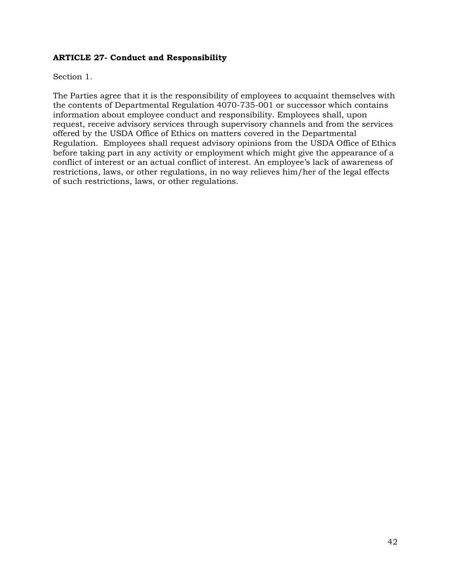## **ARTICLE 27- Conduct and Responsibility**

Section 1.

The Parties agree that it is the responsibility of employees to acquaint themselves with the contents of Departmental Regulation 4070-735-001 or successor which contains information about employee conduct and responsibility. Employees shall, upon request, receive advisory services through supervisory channels and from the services offered by the USDA Office of Ethics on matters covered in the Departmental Regulation. Employees shall request advisory opinions from the USDA Office of Ethics before taking part in any activity or employment which might give the appearance of a conflict of interest or an actual conflict of interest. An employee's lack of awareness of restrictions, laws, or other regulations, in no way relieves him/her of the legal effects of such restrictions, laws, or other regulations.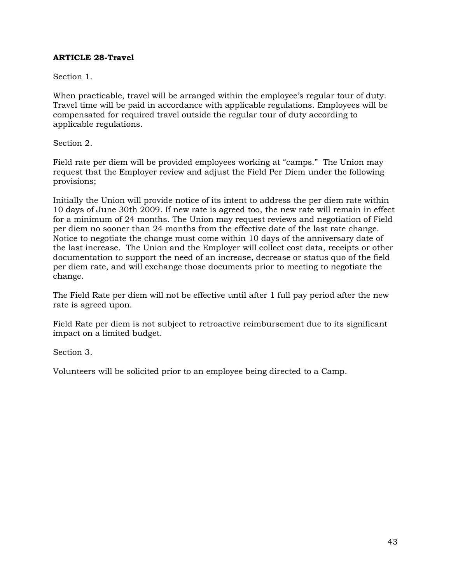## **ARTICLE 28-Travel**

Section 1.

When practicable, travel will be arranged within the employee's regular tour of duty. Travel time will be paid in accordance with applicable regulations. Employees will be compensated for required travel outside the regular tour of duty according to applicable regulations.

Section 2.

Field rate per diem will be provided employees working at "camps." The Union may request that the Employer review and adjust the Field Per Diem under the following provisions;

Initially the Union will provide notice of its intent to address the per diem rate within 10 days of June 30th 2009. If new rate is agreed too, the new rate will remain in effect for a minimum of 24 months. The Union may request reviews and negotiation of Field per diem no sooner than 24 months from the effective date of the last rate change. Notice to negotiate the change must come within 10 days of the anniversary date of the last increase. The Union and the Employer will collect cost data, receipts or other documentation to support the need of an increase, decrease or status quo of the field per diem rate, and will exchange those documents prior to meeting to negotiate the change.

The Field Rate per diem will not be effective until after 1 full pay period after the new rate is agreed upon.

Field Rate per diem is not subject to retroactive reimbursement due to its significant impact on a limited budget.

Section 3.

Volunteers will be solicited prior to an employee being directed to a Camp.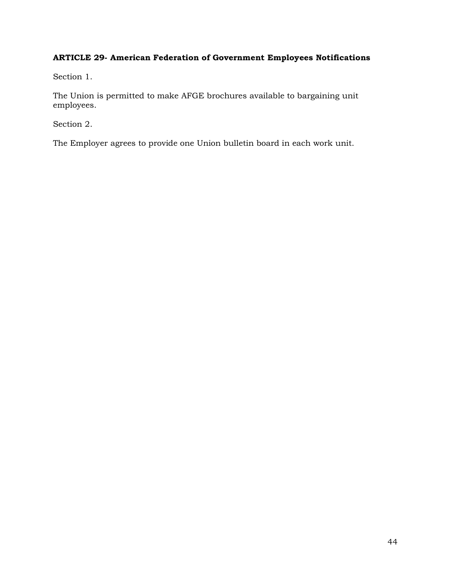## **ARTICLE 29- American Federation of Government Employees Notifications**

Section 1.

The Union is permitted to make AFGE brochures available to bargaining unit employees.

Section 2.

The Employer agrees to provide one Union bulletin board in each work unit.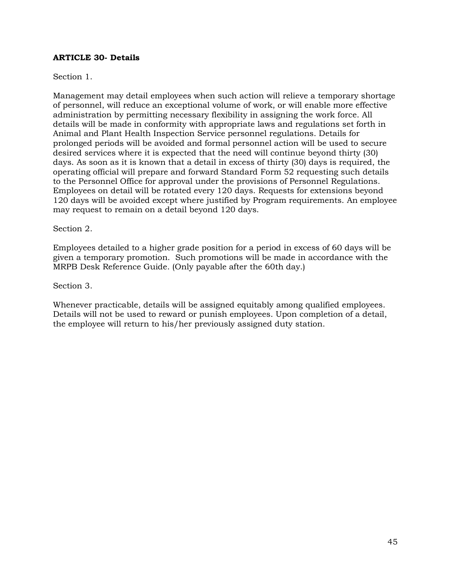#### **ARTICLE 30- Details**

## Section 1.

Management may detail employees when such action will relieve a temporary shortage of personnel, will reduce an exceptional volume of work, or will enable more effective administration by permitting necessary flexibility in assigning the work force. All details will be made in conformity with appropriate laws and regulations set forth in Animal and Plant Health Inspection Service personnel regulations. Details for prolonged periods will be avoided and formal personnel action will be used to secure desired services where it is expected that the need will continue beyond thirty (30) days. As soon as it is known that a detail in excess of thirty (30) days is required, the operating official will prepare and forward Standard Form 52 requesting such details to the Personnel Office for approval under the provisions of Personnel Regulations. Employees on detail will be rotated every 120 days. Requests for extensions beyond 120 days will be avoided except where justified by Program requirements. An employee may request to remain on a detail beyond 120 days.

Section 2.

Employees detailed to a higher grade position for a period in excess of 60 days will be given a temporary promotion. Such promotions will be made in accordance with the MRPB Desk Reference Guide. (Only payable after the 60th day.)

Section 3.

Whenever practicable, details will be assigned equitably among qualified employees. Details will not be used to reward or punish employees. Upon completion of a detail, the employee will return to his/her previously assigned duty station.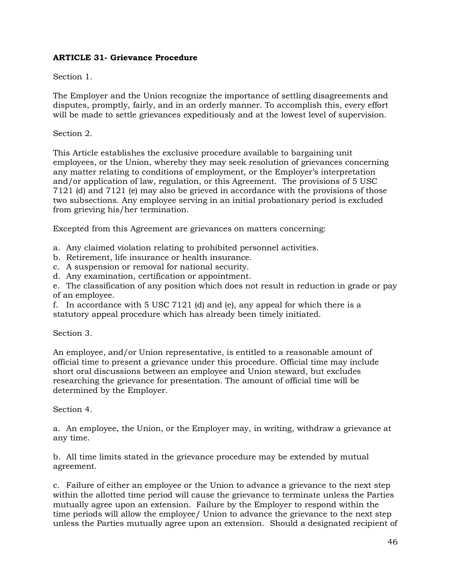## **ARTICLE 31- Grievance Procedure**

## Section 1.

The Employer and the Union recognize the importance of settling disagreements and disputes, promptly, fairly, and in an orderly manner. To accomplish this, every effort will be made to settle grievances expeditiously and at the lowest level of supervision.

## Section 2.

This Article establishes the exclusive procedure available to bargaining unit employees, or the Union, whereby they may seek resolution of grievances concerning any matter relating to conditions of employment, or the Employer's interpretation and/or application of law, regulation, or this Agreement. The provisions of 5 USC 7121 (d) and 7121 (e) may also be grieved in accordance with the provisions of those two subsections. Any employee serving in an initial probationary period is excluded from grieving his/her termination.

Excepted from this Agreement are grievances on matters concerning:

a. Any claimed violation relating to prohibited personnel activities.

- b. Retirement, life insurance or health insurance.
- c. A suspension or removal for national security.
- d. Any examination, certification or appointment.

e. The classification of any position which does not result in reduction in grade or pay of an employee.

f. In accordance with 5 USC 7121 (d) and (e), any appeal for which there is a statutory appeal procedure which has already been timely initiated.

#### Section 3.

An employee, and/or Union representative, is entitled to a reasonable amount of official time to present a grievance under this procedure. Official time may include short oral discussions between an employee and Union steward, but excludes researching the grievance for presentation. The amount of official time will be determined by the Employer.

#### Section 4.

a. An employee, the Union, or the Employer may, in writing, withdraw a grievance at any time.

b. All time limits stated in the grievance procedure may be extended by mutual agreement.

c. Failure of either an employee or the Union to advance a grievance to the next step within the allotted time period will cause the grievance to terminate unless the Parties mutually agree upon an extension. Failure by the Employer to respond within the time periods will allow the employee/ Union to advance the grievance to the next step unless the Parties mutually agree upon an extension. Should a designated recipient of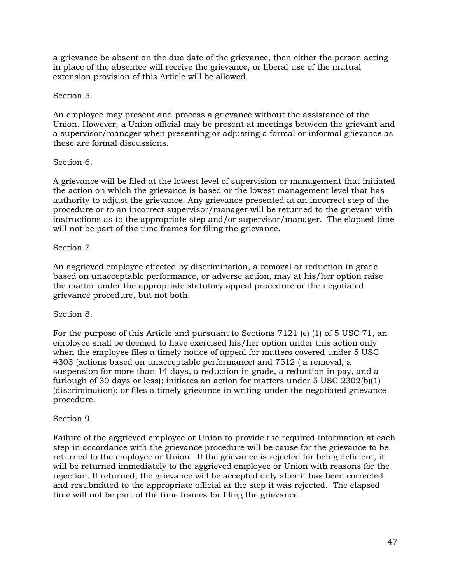a grievance be absent on the due date of the grievance, then either the person acting in place of the absentee will receive the grievance, or liberal use of the mutual extension provision of this Article will be allowed.

## Section 5.

An employee may present and process a grievance without the assistance of the Union. However, a Union official may be present at meetings between the grievant and a supervisor/manager when presenting or adjusting a formal or informal grievance as these are formal discussions.

## Section 6.

A grievance will be filed at the lowest level of supervision or management that initiated the action on which the grievance is based or the lowest management level that has authority to adjust the grievance. Any grievance presented at an incorrect step of the procedure or to an incorrect supervisor/manager will be returned to the grievant with instructions as to the appropriate step and/or supervisor/manager. The elapsed time will not be part of the time frames for filing the grievance.

## Section 7.

An aggrieved employee affected by discrimination, a removal or reduction in grade based on unacceptable performance, or adverse action, may at his/her option raise the matter under the appropriate statutory appeal procedure or the negotiated grievance procedure, but not both.

## Section 8.

For the purpose of this Article and pursuant to Sections 7121 (e) (1) of 5 USC 71, an employee shall be deemed to have exercised his/her option under this action only when the employee files a timely notice of appeal for matters covered under 5 USC 4303 (actions based on unacceptable performance) and 7512 ( a removal, a suspension for more than 14 days, a reduction in grade, a reduction in pay, and a furlough of 30 days or less); initiates an action for matters under 5 USC 2302(b)(1) (discrimination); or files a timely grievance in writing under the negotiated grievance procedure.

#### Section 9.

Failure of the aggrieved employee or Union to provide the required information at each step in accordance with the grievance procedure will be cause for the grievance to be returned to the employee or Union. If the grievance is rejected for being deficient, it will be returned immediately to the aggrieved employee or Union with reasons for the rejection. If returned, the grievance will be accepted only after it has been corrected and resubmitted to the appropriate official at the step it was rejected. The elapsed time will not be part of the time frames for filing the grievance.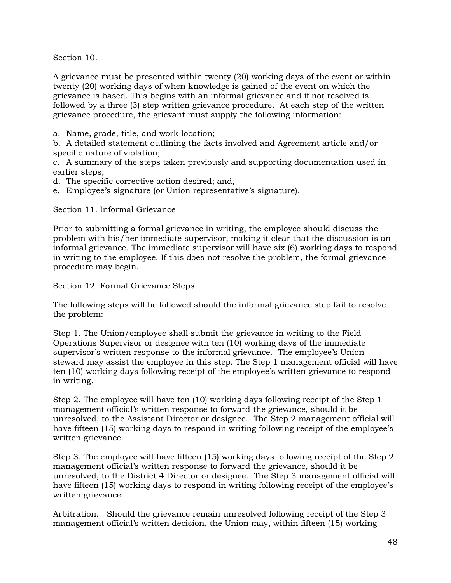Section 10.

A grievance must be presented within twenty (20) working days of the event or within twenty (20) working days of when knowledge is gained of the event on which the grievance is based. This begins with an informal grievance and if not resolved is followed by a three (3) step written grievance procedure. At each step of the written grievance procedure, the grievant must supply the following information:

a. Name, grade, title, and work location;

b. A detailed statement outlining the facts involved and Agreement article and/or specific nature of violation;

c. A summary of the steps taken previously and supporting documentation used in earlier steps;

d. The specific corrective action desired; and,

e. Employee's signature (or Union representative's signature).

Section 11. Informal Grievance

Prior to submitting a formal grievance in writing, the employee should discuss the problem with his/her immediate supervisor, making it clear that the discussion is an informal grievance. The immediate supervisor will have six (6) working days to respond in writing to the employee. If this does not resolve the problem, the formal grievance procedure may begin.

Section 12. Formal Grievance Steps

The following steps will be followed should the informal grievance step fail to resolve the problem:

Step 1. The Union/employee shall submit the grievance in writing to the Field Operations Supervisor or designee with ten (10) working days of the immediate supervisor's written response to the informal grievance. The employee's Union steward may assist the employee in this step. The Step 1 management official will have ten (10) working days following receipt of the employee's written grievance to respond in writing.

Step 2. The employee will have ten (10) working days following receipt of the Step 1 management official's written response to forward the grievance, should it be unresolved, to the Assistant Director or designee. The Step 2 management official will have fifteen (15) working days to respond in writing following receipt of the employee's written grievance.

Step 3. The employee will have fifteen (15) working days following receipt of the Step 2 management official's written response to forward the grievance, should it be unresolved, to the District 4 Director or designee. The Step 3 management official will have fifteen (15) working days to respond in writing following receipt of the employee's written grievance.

Arbitration. Should the grievance remain unresolved following receipt of the Step 3 management official's written decision, the Union may, within fifteen (15) working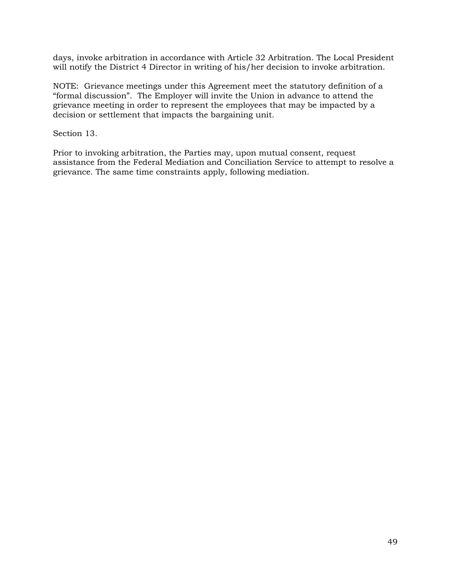days, invoke arbitration in accordance with Article 32 Arbitration. The Local President will notify the District 4 Director in writing of his/her decision to invoke arbitration.

NOTE: Grievance meetings under this Agreement meet the statutory definition of a "formal discussion". The Employer will invite the Union in advance to attend the grievance meeting in order to represent the employees that may be impacted by a decision or settlement that impacts the bargaining unit.

Section 13.

Prior to invoking arbitration, the Parties may, upon mutual consent, request assistance from the Federal Mediation and Conciliation Service to attempt to resolve a grievance. The same time constraints apply, following mediation.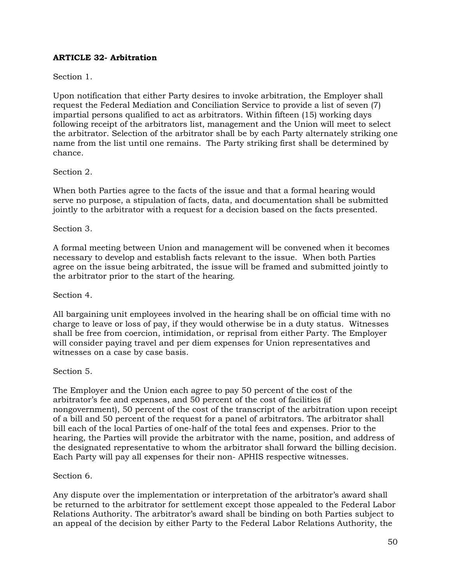## **ARTICLE 32- Arbitration**

## Section 1.

Upon notification that either Party desires to invoke arbitration, the Employer shall request the Federal Mediation and Conciliation Service to provide a list of seven (7) impartial persons qualified to act as arbitrators. Within fifteen (15) working days following receipt of the arbitrators list, management and the Union will meet to select the arbitrator. Selection of the arbitrator shall be by each Party alternately striking one name from the list until one remains. The Party striking first shall be determined by chance.

## Section 2.

When both Parties agree to the facts of the issue and that a formal hearing would serve no purpose, a stipulation of facts, data, and documentation shall be submitted jointly to the arbitrator with a request for a decision based on the facts presented.

#### Section 3.

A formal meeting between Union and management will be convened when it becomes necessary to develop and establish facts relevant to the issue. When both Parties agree on the issue being arbitrated, the issue will be framed and submitted jointly to the arbitrator prior to the start of the hearing.

#### Section 4.

All bargaining unit employees involved in the hearing shall be on official time with no charge to leave or loss of pay, if they would otherwise be in a duty status. Witnesses shall be free from coercion, intimidation, or reprisal from either Party. The Employer will consider paying travel and per diem expenses for Union representatives and witnesses on a case by case basis.

#### Section 5.

The Employer and the Union each agree to pay 50 percent of the cost of the arbitrator's fee and expenses, and 50 percent of the cost of facilities (if nongovernment), 50 percent of the cost of the transcript of the arbitration upon receipt of a bill and 50 percent of the request for a panel of arbitrators. The arbitrator shall bill each of the local Parties of one-half of the total fees and expenses. Prior to the hearing, the Parties will provide the arbitrator with the name, position, and address of the designated representative to whom the arbitrator shall forward the billing decision. Each Party will pay all expenses for their non- APHIS respective witnesses.

#### Section 6.

Any dispute over the implementation or interpretation of the arbitrator's award shall be returned to the arbitrator for settlement except those appealed to the Federal Labor Relations Authority. The arbitrator's award shall be binding on both Parties subject to an appeal of the decision by either Party to the Federal Labor Relations Authority, the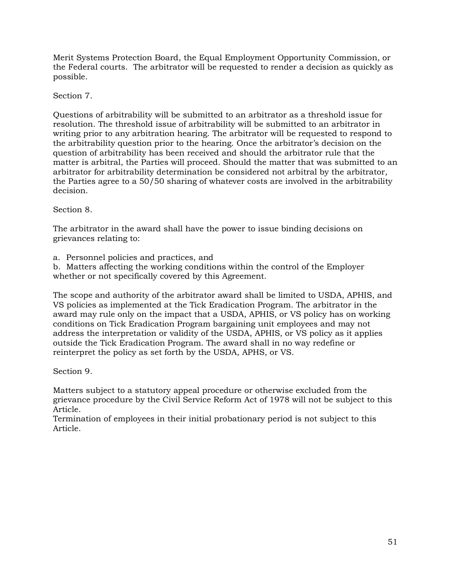Merit Systems Protection Board, the Equal Employment Opportunity Commission, or the Federal courts. The arbitrator will be requested to render a decision as quickly as possible.

## Section 7.

Questions of arbitrability will be submitted to an arbitrator as a threshold issue for resolution. The threshold issue of arbitrability will be submitted to an arbitrator in writing prior to any arbitration hearing. The arbitrator will be requested to respond to the arbitrability question prior to the hearing. Once the arbitrator's decision on the question of arbitrability has been received and should the arbitrator rule that the matter is arbitral, the Parties will proceed. Should the matter that was submitted to an arbitrator for arbitrability determination be considered not arbitral by the arbitrator, the Parties agree to a 50/50 sharing of whatever costs are involved in the arbitrability decision.

Section 8.

The arbitrator in the award shall have the power to issue binding decisions on grievances relating to:

a. Personnel policies and practices, and

b. Matters affecting the working conditions within the control of the Employer whether or not specifically covered by this Agreement.

The scope and authority of the arbitrator award shall be limited to USDA, APHIS, and VS policies as implemented at the Tick Eradication Program. The arbitrator in the award may rule only on the impact that a USDA, APHIS, or VS policy has on working conditions on Tick Eradication Program bargaining unit employees and may not address the interpretation or validity of the USDA, APHIS, or VS policy as it applies outside the Tick Eradication Program. The award shall in no way redefine or reinterpret the policy as set forth by the USDA, APHS, or VS.

Section 9.

Matters subject to a statutory appeal procedure or otherwise excluded from the grievance procedure by the Civil Service Reform Act of 1978 will not be subject to this Article.

Termination of employees in their initial probationary period is not subject to this Article.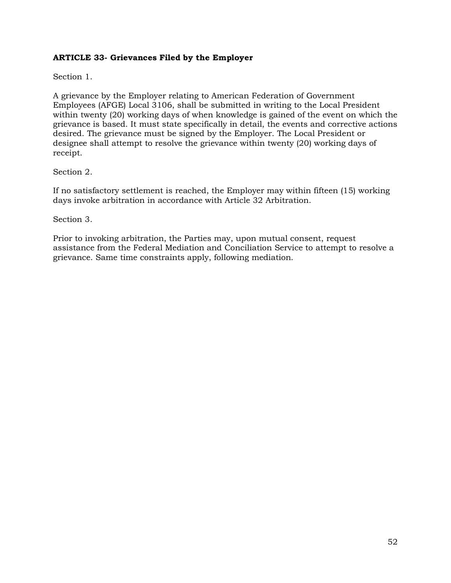## **ARTICLE 33- Grievances Filed by the Employer**

Section 1.

A grievance by the Employer relating to American Federation of Government Employees (AFGE) Local 3106, shall be submitted in writing to the Local President within twenty (20) working days of when knowledge is gained of the event on which the grievance is based. It must state specifically in detail, the events and corrective actions desired. The grievance must be signed by the Employer. The Local President or designee shall attempt to resolve the grievance within twenty (20) working days of receipt.

## Section 2.

If no satisfactory settlement is reached, the Employer may within fifteen (15) working days invoke arbitration in accordance with Article 32 Arbitration.

Section 3.

Prior to invoking arbitration, the Parties may, upon mutual consent, request assistance from the Federal Mediation and Conciliation Service to attempt to resolve a grievance. Same time constraints apply, following mediation.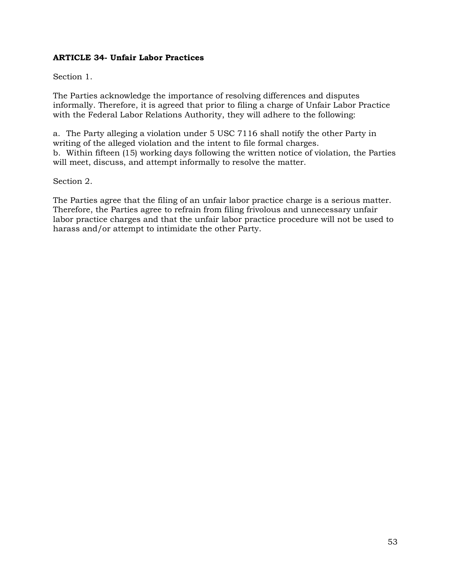## **ARTICLE 34- Unfair Labor Practices**

## Section 1.

The Parties acknowledge the importance of resolving differences and disputes informally. Therefore, it is agreed that prior to filing a charge of Unfair Labor Practice with the Federal Labor Relations Authority, they will adhere to the following:

a. The Party alleging a violation under 5 USC 7116 shall notify the other Party in writing of the alleged violation and the intent to file formal charges. b. Within fifteen (15) working days following the written notice of violation, the Parties will meet, discuss, and attempt informally to resolve the matter.

#### Section 2.

The Parties agree that the filing of an unfair labor practice charge is a serious matter. Therefore, the Parties agree to refrain from filing frivolous and unnecessary unfair labor practice charges and that the unfair labor practice procedure will not be used to harass and/or attempt to intimidate the other Party.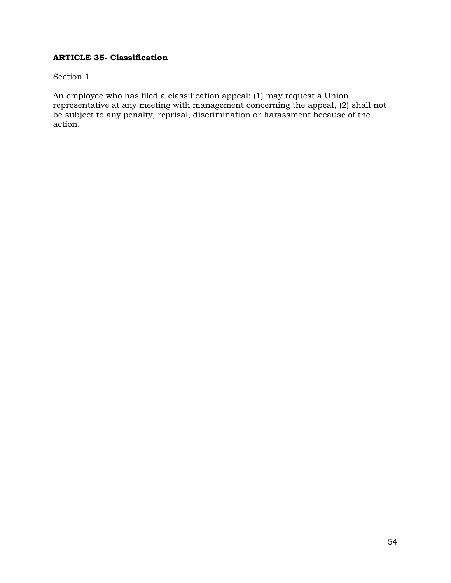## **ARTICLE 35- Classification**

Section 1.

An employee who has filed a classification appeal: (1) may request a Union representative at any meeting with management concerning the appeal, (2) shall not be subject to any penalty, reprisal, discrimination or harassment because of the action.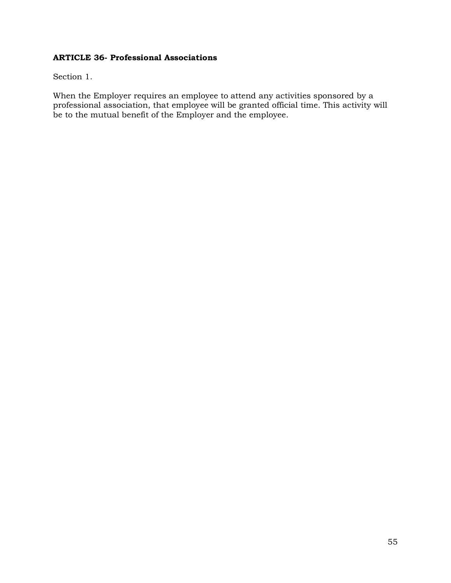## **ARTICLE 36- Professional Associations**

Section 1.

When the Employer requires an employee to attend any activities sponsored by a professional association, that employee will be granted official time. This activity will be to the mutual benefit of the Employer and the employee.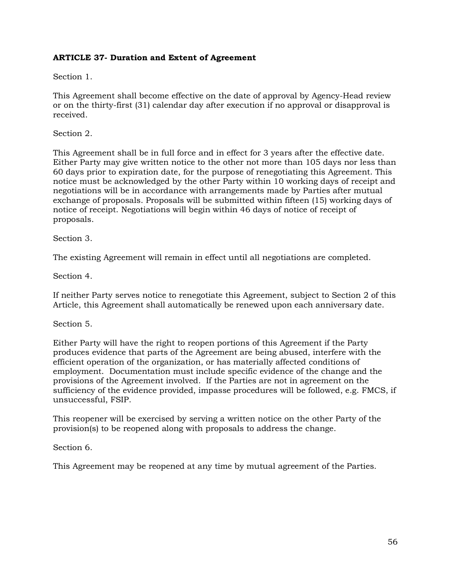## **ARTICLE 37- Duration and Extent of Agreement**

Section 1.

This Agreement shall become effective on the date of approval by Agency-Head review or on the thirty-first (31) calendar day after execution if no approval or disapproval is received.

Section 2.

This Agreement shall be in full force and in effect for 3 years after the effective date. Either Party may give written notice to the other not more than 105 days nor less than 60 days prior to expiration date, for the purpose of renegotiating this Agreement. This notice must be acknowledged by the other Party within 10 working days of receipt and negotiations will be in accordance with arrangements made by Parties after mutual exchange of proposals. Proposals will be submitted within fifteen (15) working days of notice of receipt. Negotiations will begin within 46 days of notice of receipt of proposals.

Section 3.

The existing Agreement will remain in effect until all negotiations are completed.

Section 4.

If neither Party serves notice to renegotiate this Agreement, subject to Section 2 of this Article, this Agreement shall automatically be renewed upon each anniversary date.

Section 5.

Either Party will have the right to reopen portions of this Agreement if the Party produces evidence that parts of the Agreement are being abused, interfere with the efficient operation of the organization, or has materially affected conditions of employment. Documentation must include specific evidence of the change and the provisions of the Agreement involved. If the Parties are not in agreement on the sufficiency of the evidence provided, impasse procedures will be followed, e.g. FMCS, if unsuccessful, FSIP.

This reopener will be exercised by serving a written notice on the other Party of the provision(s) to be reopened along with proposals to address the change.

Section 6.

This Agreement may be reopened at any time by mutual agreement of the Parties.